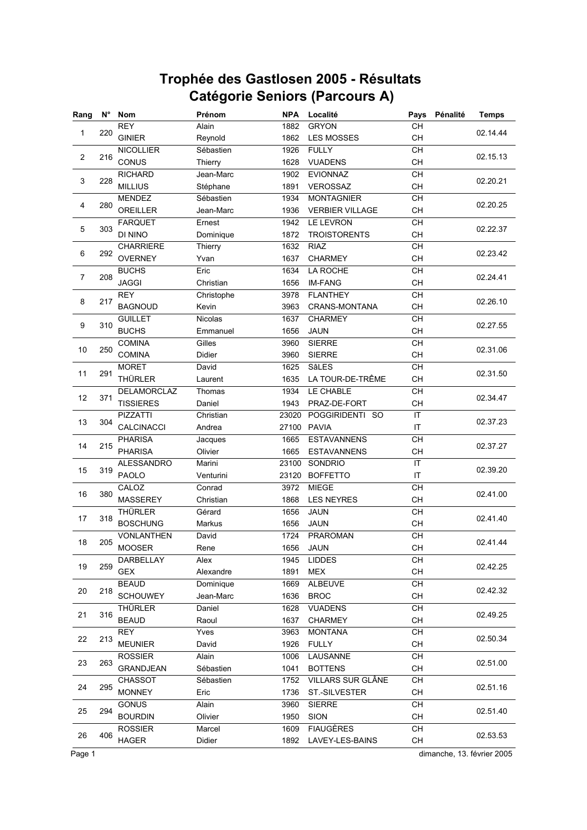| Rang           | $N^{\circ}$ | Nom               | Prénom         | <b>NPA</b> | Localité               | Pays                                     | Pénalité | <b>Temps</b>                                                                                                                                                                                                                                                                                             |
|----------------|-------------|-------------------|----------------|------------|------------------------|------------------------------------------|----------|----------------------------------------------------------------------------------------------------------------------------------------------------------------------------------------------------------------------------------------------------------------------------------------------------------|
|                |             | REY               | Alain          | 1882       | <b>GRYON</b>           | CH                                       |          |                                                                                                                                                                                                                                                                                                          |
| $\mathbf{1}$   | 220         | <b>GINIER</b>     | Reynold        | 1862       | <b>LES MOSSES</b>      | <b>CH</b>                                |          |                                                                                                                                                                                                                                                                                                          |
|                |             | <b>NICOLLIER</b>  | Sébastien      | 1926       | <b>FULLY</b>           | CH                                       |          |                                                                                                                                                                                                                                                                                                          |
| $\overline{2}$ | 216         | CONUS             | Thierry        | 1628       | <b>VUADENS</b>         | CH                                       |          | 02.14.44<br>02.15.13<br>02.20.21<br>02.20.25<br>02.22.37<br>02.23.42<br>02.24.41<br>02.26.10<br>02.27.55<br>02.31.06<br>02.31.50<br>02.34.47<br>02.37.23<br>02.37.27<br>02.39.20<br>02.41.00<br>02.41.40<br>02.41.44<br>02.42.25<br>02.42.32<br>02.49.25<br>02.50.34<br>02.51.00<br>02.51.16<br>02.51.40 |
|                |             | <b>RICHARD</b>    | Jean-Marc      | 1902       | <b>EVIONNAZ</b>        | CH                                       |          |                                                                                                                                                                                                                                                                                                          |
| 3              | 228         | <b>MILLIUS</b>    | Stéphane       | 1891       | VEROSSAZ               | CH                                       |          |                                                                                                                                                                                                                                                                                                          |
|                |             | <b>MENDEZ</b>     | Sébastien      | 1934       | <b>MONTAGNIER</b>      | <b>CH</b>                                |          |                                                                                                                                                                                                                                                                                                          |
| 4              | 280         | OREILLER          | Jean-Marc      | 1936       | <b>VERBIER VILLAGE</b> | CH                                       |          |                                                                                                                                                                                                                                                                                                          |
|                |             | <b>FARQUET</b>    | Ernest         | 1942       | <b>LE LEVRON</b>       | CH                                       |          |                                                                                                                                                                                                                                                                                                          |
| $\mathbf 5$    | 303         | DI NINO           | Dominique      | 1872       | <b>TROISTORENTS</b>    | CH                                       |          |                                                                                                                                                                                                                                                                                                          |
|                |             | <b>CHARRIERE</b>  | Thierry        | 1632       | <b>RIAZ</b>            | CH                                       |          |                                                                                                                                                                                                                                                                                                          |
| 6              | 292         | <b>OVERNEY</b>    | Yvan           | 1637       | <b>CHARMEY</b>         | CH                                       |          |                                                                                                                                                                                                                                                                                                          |
|                |             | <b>BUCHS</b>      | Eric           | 1634       | LA ROCHE               | CH                                       |          |                                                                                                                                                                                                                                                                                                          |
| 7              | 208         | <b>JAGGI</b>      | Christian      | 1656       | <b>IM-FANG</b>         | CH                                       |          |                                                                                                                                                                                                                                                                                                          |
|                |             | <b>REY</b>        | Christophe     | 3978       | <b>FLANTHEY</b>        | CH                                       |          |                                                                                                                                                                                                                                                                                                          |
| 8              | 217         | <b>BAGNOUD</b>    | Kevin          | 3963       | <b>CRANS-MONTANA</b>   | <b>CH</b>                                |          |                                                                                                                                                                                                                                                                                                          |
|                |             | <b>GUILLET</b>    | <b>Nicolas</b> | 1637       | <b>CHARMEY</b>         | CH                                       |          |                                                                                                                                                                                                                                                                                                          |
| 9              | 310         | <b>BUCHS</b>      | Emmanuel       | 1656       | <b>JAUN</b>            | <b>CH</b>                                |          |                                                                                                                                                                                                                                                                                                          |
|                |             | <b>COMINA</b>     | Gilles         | 3960       | <b>SIERRE</b>          | CH                                       |          |                                                                                                                                                                                                                                                                                                          |
| 10             | 250         | <b>COMINA</b>     | Didier         | 3960       | <b>SIERRE</b>          | CH                                       |          |                                                                                                                                                                                                                                                                                                          |
|                |             | <b>MORET</b>      | David          | 1625       | SâLES                  | CH                                       |          |                                                                                                                                                                                                                                                                                                          |
| 11             | 291         | <b>THÜRLER</b>    | Laurent        | 1635       | LA TOUR-DE-TRÊME       | CH                                       |          |                                                                                                                                                                                                                                                                                                          |
|                |             | DELAMORCLAZ       | Thomas         | 1934       | LE CHABLE              | CH                                       |          |                                                                                                                                                                                                                                                                                                          |
| 12             | 371         | <b>TISSIERES</b>  | Daniel         | 1943       | PRAZ-DE-FORT           | СH                                       |          |                                                                                                                                                                                                                                                                                                          |
|                |             | <b>PIZZATTI</b>   | Christian      | 23020      | POGGIRIDENTI SO        | IT                                       |          |                                                                                                                                                                                                                                                                                                          |
| 13             | 304         | CALCINACCI        | Andrea         | 27100      | <b>PAVIA</b>           | IT                                       |          |                                                                                                                                                                                                                                                                                                          |
|                |             | <b>PHARISA</b>    | Jacques        | 1665       | <b>ESTAVANNENS</b>     | <b>CH</b>                                |          |                                                                                                                                                                                                                                                                                                          |
| 14             | 215         | <b>PHARISA</b>    | Olivier        | 1665       | <b>ESTAVANNENS</b>     | <b>CH</b>                                |          |                                                                                                                                                                                                                                                                                                          |
|                |             | <b>ALESSANDRO</b> | Marini         | 23100      | SONDRIO                | IT                                       |          |                                                                                                                                                                                                                                                                                                          |
| 15             | 319         | PAOLO             | Venturini      | 23120      | <b>BOFFETTO</b>        | IT                                       |          |                                                                                                                                                                                                                                                                                                          |
|                |             | CALOZ             | Conrad         | 3972       | <b>MIEGE</b>           | CH                                       |          |                                                                                                                                                                                                                                                                                                          |
| 16             | 380         | MASSEREY          | Christian      | 1868       | <b>LES NEYRES</b>      | CH                                       |          |                                                                                                                                                                                                                                                                                                          |
|                |             | <b>THÜRLER</b>    | Gérard         | 1656       | <b>JAUN</b>            | CH                                       |          |                                                                                                                                                                                                                                                                                                          |
| 17             | 318         | <b>BOSCHUNG</b>   | Markus         | 1656       | <b>JAUN</b>            | CH                                       |          |                                                                                                                                                                                                                                                                                                          |
|                |             | <b>VONLANTHEN</b> | David          | 1724       | <b>PRAROMAN</b>        | <b>CH</b>                                |          |                                                                                                                                                                                                                                                                                                          |
| 18             | 205         | <b>MOOSER</b>     | Rene           | 1656       | <b>JAUN</b>            | CH                                       |          |                                                                                                                                                                                                                                                                                                          |
|                |             | DARBELLAY         | Alex           | 1945       | <b>LIDDES</b>          | CН                                       |          |                                                                                                                                                                                                                                                                                                          |
| 19             | 259         | <b>GEX</b>        | Alexandre      | 1891       | <b>MEX</b>             | CH                                       |          |                                                                                                                                                                                                                                                                                                          |
|                |             | <b>BEAUD</b>      | Dominique      | 1669       | ALBEUVE                | CH                                       |          |                                                                                                                                                                                                                                                                                                          |
| 20             | 218         | <b>SCHOUWEY</b>   | Jean-Marc      | 1636       | <b>BROC</b>            | CH                                       |          |                                                                                                                                                                                                                                                                                                          |
|                |             | THÜRLER           | Daniel         | 1628       | <b>VUADENS</b>         | CH                                       |          |                                                                                                                                                                                                                                                                                                          |
| 21             | 316         | <b>BEAUD</b>      | Raoul          | 1637       | <b>CHARMEY</b>         | CH                                       |          |                                                                                                                                                                                                                                                                                                          |
|                |             | <b>REY</b>        | Yves           | 3963       | <b>MONTANA</b>         | CH                                       |          |                                                                                                                                                                                                                                                                                                          |
| 22             | 213         | <b>MEUNIER</b>    | David          | 1926       | <b>FULLY</b>           | CH                                       |          |                                                                                                                                                                                                                                                                                                          |
|                |             | <b>ROSSIER</b>    | Alain          | 1006       | LAUSANNE               | $\mathsf{CH}% \left( \mathcal{M}\right)$ |          |                                                                                                                                                                                                                                                                                                          |
| 23             | 263         | GRANDJEAN         | Sébastien      | 1041       | <b>BOTTENS</b>         | CH                                       |          |                                                                                                                                                                                                                                                                                                          |
|                |             | <b>CHASSOT</b>    | Sébastien      | 1752       | VILLARS SUR GLÂNE      | CH                                       |          |                                                                                                                                                                                                                                                                                                          |
| 24             | 295         | <b>MONNEY</b>     | Eric           | 1736       | ST.-SILVESTER          | CH                                       |          |                                                                                                                                                                                                                                                                                                          |
|                |             | <b>GONUS</b>      | Alain          | 3960       | <b>SIERRE</b>          | CH                                       |          |                                                                                                                                                                                                                                                                                                          |
| 25             | 294         | <b>BOURDIN</b>    | Olivier        | 1950       | <b>SION</b>            | CH                                       |          |                                                                                                                                                                                                                                                                                                          |
|                |             | <b>ROSSIER</b>    | Marcel         | 1609       | <b>FIAUGÈRES</b>       | CH                                       |          |                                                                                                                                                                                                                                                                                                          |
| 26             | 406         | <b>HAGER</b>      | Didier         | 1892       | LAVEY-LES-BAINS        | CH                                       |          | 02.53.53                                                                                                                                                                                                                                                                                                 |

Page 1 dimanche, 13. février 2005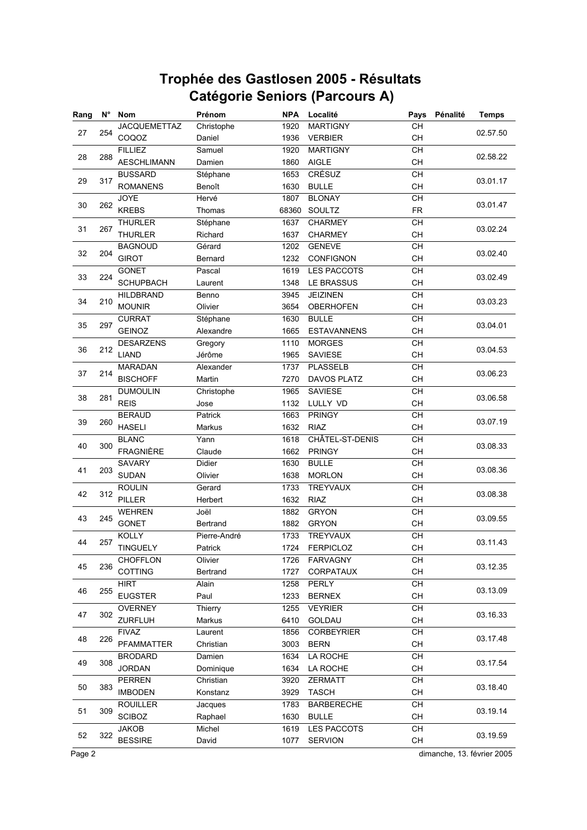| Rang | $N^{\circ}$ | <b>Nom</b>          | Prénom       | <b>NPA</b> | Localité           | Pays                                     | Pénalité | <b>Temps</b>                                                                                                                                                                                                                                                                                             |
|------|-------------|---------------------|--------------|------------|--------------------|------------------------------------------|----------|----------------------------------------------------------------------------------------------------------------------------------------------------------------------------------------------------------------------------------------------------------------------------------------------------------|
|      |             | <b>JACQUEMETTAZ</b> | Christophe   | 1920       | <b>MARTIGNY</b>    | CH                                       |          |                                                                                                                                                                                                                                                                                                          |
| 27   | 254         | COQOZ               | Daniel       | 1936       | <b>VERBIER</b>     | CH                                       |          |                                                                                                                                                                                                                                                                                                          |
|      |             | <b>FILLIEZ</b>      | Samuel       | 1920       | <b>MARTIGNY</b>    | CH                                       |          |                                                                                                                                                                                                                                                                                                          |
| 28   | 288         | <b>AESCHLIMANN</b>  | Damien       | 1860       | <b>AIGLE</b>       | CH                                       |          |                                                                                                                                                                                                                                                                                                          |
|      |             | <b>BUSSARD</b>      | Stéphane     | 1653       | CRÉSUZ             | CH                                       |          | 02.57.50<br>02.58.22<br>03.01.17<br>03.01.47<br>03.02.24<br>03.02.40<br>03.02.49<br>03.03.23<br>03.04.01<br>03.04.53<br>03.06.23<br>03.06.58<br>03.07.19<br>03.08.33<br>03.08.36<br>03.08.38<br>03.09.55<br>03.11.43<br>03.12.35<br>03.13.09<br>03.16.33<br>03.17.48<br>03.17.54<br>03.18.40<br>03.19.14 |
| 29   | 317         | <b>ROMANENS</b>     | Benoît       | 1630       | <b>BULLE</b>       | CH                                       |          |                                                                                                                                                                                                                                                                                                          |
|      |             | <b>JOYE</b>         | Hervé        | 1807       | <b>BLONAY</b>      | CH                                       |          |                                                                                                                                                                                                                                                                                                          |
| 30   | 262         | <b>KREBS</b>        | Thomas       | 68360      | SOULTZ             | <b>FR</b>                                |          |                                                                                                                                                                                                                                                                                                          |
|      |             | <b>THURLER</b>      | Stéphane     | 1637       | <b>CHARMEY</b>     | CH                                       |          |                                                                                                                                                                                                                                                                                                          |
| 31   | 267         | <b>THURLER</b>      | Richard      | 1637       | <b>CHARMEY</b>     | CH                                       |          |                                                                                                                                                                                                                                                                                                          |
|      |             | <b>BAGNOUD</b>      | Gérard       | 1202       | <b>GENEVE</b>      | <b>CH</b>                                |          |                                                                                                                                                                                                                                                                                                          |
| 32   | 204         | <b>GIROT</b>        | Bernard      | 1232       | <b>CONFIGNON</b>   | CH                                       |          |                                                                                                                                                                                                                                                                                                          |
|      |             | <b>GONET</b>        | Pascal       | 1619       | LES PACCOTS        | CH                                       |          |                                                                                                                                                                                                                                                                                                          |
| 33   | 224         | <b>SCHUPBACH</b>    | Laurent      | 1348       | LE BRASSUS         | CH                                       |          |                                                                                                                                                                                                                                                                                                          |
|      |             | <b>HILDBRAND</b>    | Benno        | 3945       | <b>JEIZINEN</b>    | CH                                       |          |                                                                                                                                                                                                                                                                                                          |
| 34   | 210         | <b>MOUNIR</b>       | Olivier      | 3654       | <b>OBERHOFEN</b>   | <b>CH</b>                                |          |                                                                                                                                                                                                                                                                                                          |
|      |             | <b>CURRAT</b>       | Stéphane     | 1630       | <b>BULLE</b>       | CH                                       |          |                                                                                                                                                                                                                                                                                                          |
| 35   | 297         | <b>GEINOZ</b>       | Alexandre    | 1665       | <b>ESTAVANNENS</b> | <b>CH</b>                                |          |                                                                                                                                                                                                                                                                                                          |
|      |             | <b>DESARZENS</b>    | Gregory      | 1110       | <b>MORGES</b>      | CH                                       |          |                                                                                                                                                                                                                                                                                                          |
| 36   | 212         | <b>LIAND</b>        | Jérôme       | 1965       | <b>SAVIESE</b>     | CH                                       |          |                                                                                                                                                                                                                                                                                                          |
|      |             | <b>MARADAN</b>      | Alexander    | 1737       | <b>PLASSELB</b>    | $\overline{CH}$                          |          |                                                                                                                                                                                                                                                                                                          |
| 37   | 214         | <b>BISCHOFF</b>     | Martin       | 7270       | <b>DAVOS PLATZ</b> | CH                                       |          |                                                                                                                                                                                                                                                                                                          |
|      |             | <b>DUMOULIN</b>     | Christophe   | 1965       | <b>SAVIESE</b>     | CH                                       |          |                                                                                                                                                                                                                                                                                                          |
| 38   | 281         | <b>REIS</b>         | Jose         | 1132       | LULLY VD           | CH                                       |          |                                                                                                                                                                                                                                                                                                          |
|      |             | <b>BERAUD</b>       | Patrick      | 1663       | <b>PRINGY</b>      | CH                                       |          |                                                                                                                                                                                                                                                                                                          |
| 39   | 260         | <b>HASELI</b>       | Markus       | 1632       | <b>RIAZ</b>        | СH                                       |          |                                                                                                                                                                                                                                                                                                          |
|      |             | <b>BLANC</b>        | Yann         | 1618       | CHÂTEL-ST-DENIS    | CH                                       |          |                                                                                                                                                                                                                                                                                                          |
| 40   | 300         | <b>FRAGNIÈRE</b>    | Claude       | 1662       | <b>PRINGY</b>      | <b>CH</b>                                |          |                                                                                                                                                                                                                                                                                                          |
|      |             | <b>SAVARY</b>       | Didier       | 1630       | <b>BULLE</b>       | CH                                       |          |                                                                                                                                                                                                                                                                                                          |
| 41   | 203         | <b>SUDAN</b>        | Olivier      | 1638       | <b>MORLON</b>      | CH                                       |          |                                                                                                                                                                                                                                                                                                          |
|      |             | <b>ROULIN</b>       | Gerard       | 1733       | <b>TREYVAUX</b>    | CH                                       |          |                                                                                                                                                                                                                                                                                                          |
| 42   | 312         | <b>PILLER</b>       | Herbert      | 1632       | <b>RIAZ</b>        | CH                                       |          |                                                                                                                                                                                                                                                                                                          |
|      |             | <b>WEHREN</b>       | Joël         | 1882       | <b>GRYON</b>       | CH                                       |          |                                                                                                                                                                                                                                                                                                          |
| 43   | 245         | <b>GONET</b>        | Bertrand     | 1882       | <b>GRYON</b>       | CH                                       |          |                                                                                                                                                                                                                                                                                                          |
|      |             | <b>KOLLY</b>        | Pierre-André | 1733       | <b>TREYVAUX</b>    | <b>CH</b>                                |          |                                                                                                                                                                                                                                                                                                          |
| 44   | 257         | <b>TINGUELY</b>     | Patrick      | 1724       | <b>FERPICLOZ</b>   | СH                                       |          |                                                                                                                                                                                                                                                                                                          |
|      |             | CHOFFLON            | Olivier      | 1726       | <b>FARVAGNY</b>    | CН                                       |          |                                                                                                                                                                                                                                                                                                          |
| 45   | 236         | COTTING             | Bertrand     | 1727       | CORPATAUX          | CH                                       |          |                                                                                                                                                                                                                                                                                                          |
|      |             | <b>HIRT</b>         | Alain        | 1258       | <b>PERLY</b>       | CH                                       |          |                                                                                                                                                                                                                                                                                                          |
| 46   | 255         | <b>EUGSTER</b>      | Paul         | 1233       | <b>BERNEX</b>      | CH                                       |          |                                                                                                                                                                                                                                                                                                          |
|      |             | <b>OVERNEY</b>      | Thierry      | 1255       | <b>VEYRIER</b>     | CH                                       |          |                                                                                                                                                                                                                                                                                                          |
| 47   | 302         | ZURFLUH             | Markus       | 6410       | GOLDAU             | CH                                       |          |                                                                                                                                                                                                                                                                                                          |
|      |             | <b>FIVAZ</b>        | Laurent      | 1856       | <b>CORBEYRIER</b>  | CH                                       |          |                                                                                                                                                                                                                                                                                                          |
| 48   | 226         | PFAMMATTER          | Christian    | 3003       | <b>BERN</b>        | CH                                       |          |                                                                                                                                                                                                                                                                                                          |
|      |             | <b>BRODARD</b>      | Damien       | 1634       | LA ROCHE           | $\mathsf{CH}% \left( \mathcal{M}\right)$ |          |                                                                                                                                                                                                                                                                                                          |
| 49   | 308         | <b>JORDAN</b>       | Dominique    | 1634       | LA ROCHE           | CH                                       |          |                                                                                                                                                                                                                                                                                                          |
|      |             | <b>PERREN</b>       | Christian    | 3920       | <b>ZERMATT</b>     | $\mathsf{CH}% \left( \mathcal{M}\right)$ |          |                                                                                                                                                                                                                                                                                                          |
| 50   | 383         | <b>IMBODEN</b>      | Konstanz     | 3929       | <b>TASCH</b>       | <b>CH</b>                                |          |                                                                                                                                                                                                                                                                                                          |
|      |             | <b>ROUILLER</b>     | Jacques      | 1783       | <b>BARBERECHE</b>  | CН                                       |          |                                                                                                                                                                                                                                                                                                          |
| 51   | 309         | <b>SCIBOZ</b>       | Raphael      | 1630       | <b>BULLE</b>       | CH                                       |          |                                                                                                                                                                                                                                                                                                          |
|      |             | <b>JAKOB</b>        | Michel       | 1619       | LES PACCOTS        | CH                                       |          |                                                                                                                                                                                                                                                                                                          |
| 52   | 322         | <b>BESSIRE</b>      | David        | 1077       | <b>SERVION</b>     | CH                                       |          | 03.19.59                                                                                                                                                                                                                                                                                                 |
|      |             |                     |              |            |                    |                                          |          |                                                                                                                                                                                                                                                                                                          |

Page 2 dimanche, 13. février 2005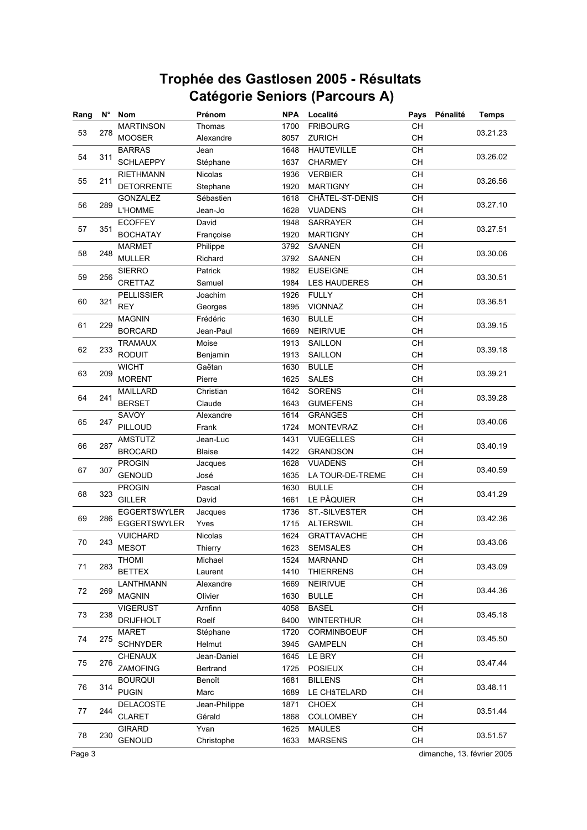| Rang | $N^{\circ}$ | <b>Nom</b>          | Prénom         | <b>NPA</b> | Localité            | Pays                                     | Pénalité | <b>Temps</b>                                                                                                                                                                                                                                                                                             |
|------|-------------|---------------------|----------------|------------|---------------------|------------------------------------------|----------|----------------------------------------------------------------------------------------------------------------------------------------------------------------------------------------------------------------------------------------------------------------------------------------------------------|
| 53   | 278         | <b>MARTINSON</b>    | Thomas         | 1700       | <b>FRIBOURG</b>     | CH                                       |          |                                                                                                                                                                                                                                                                                                          |
|      |             | <b>MOOSER</b>       | Alexandre      | 8057       | <b>ZURICH</b>       | <b>CH</b>                                |          |                                                                                                                                                                                                                                                                                                          |
|      |             | <b>BARRAS</b>       | Jean           | 1648       | <b>HAUTEVILLE</b>   | CH                                       |          |                                                                                                                                                                                                                                                                                                          |
| 54   | 311         | <b>SCHLAEPPY</b>    | Stéphane       | 1637       | <b>CHARMEY</b>      | <b>CH</b>                                |          | 03.21.23<br>03.26.02<br>03.26.56<br>03.27.10<br>03.27.51<br>03.30.06<br>03.30.51<br>03.36.51<br>03.39.15<br>03.39.18<br>03.39.21<br>03.39.28<br>03.40.06<br>03.40.19<br>03.40.59<br>03.41.29<br>03.42.36<br>03.43.06<br>03.43.09<br>03.44.36<br>03.45.18<br>03.45.50<br>03.47.44<br>03.48.11<br>03.51.44 |
|      |             | <b>RIETHMANN</b>    | Nicolas        | 1936       | <b>VERBIER</b>      | CH                                       |          |                                                                                                                                                                                                                                                                                                          |
| 55   | 211         | <b>DETORRENTE</b>   | Stephane       | 1920       | <b>MARTIGNY</b>     | CH                                       |          |                                                                                                                                                                                                                                                                                                          |
| 56   | 289         | GONZALEZ            | Sébastien      | 1618       | CHÂTEL-ST-DENIS     | CH                                       |          |                                                                                                                                                                                                                                                                                                          |
|      |             | <b>L'HOMME</b>      | Jean-Jo        | 1628       | <b>VUADENS</b>      | CH                                       |          |                                                                                                                                                                                                                                                                                                          |
| 57   | 351         | <b>ECOFFEY</b>      | David          | 1948       | <b>SARRAYER</b>     | CH                                       |          |                                                                                                                                                                                                                                                                                                          |
|      |             | <b>BOCHATAY</b>     | Françoise      | 1920       | <b>MARTIGNY</b>     | CH                                       |          |                                                                                                                                                                                                                                                                                                          |
| 58   | 248         | <b>MARMET</b>       | Philippe       | 3792       | <b>SAANEN</b>       | CH                                       |          |                                                                                                                                                                                                                                                                                                          |
|      |             | <b>MULLER</b>       | Richard        | 3792       | <b>SAANEN</b>       | CH                                       |          |                                                                                                                                                                                                                                                                                                          |
| 59   | 256         | <b>SIERRO</b>       | Patrick        | 1982       | <b>EUSEIGNE</b>     | CH                                       |          |                                                                                                                                                                                                                                                                                                          |
|      |             | CRETTAZ             | Samuel         | 1984       | <b>LES HAUDERES</b> | CH                                       |          |                                                                                                                                                                                                                                                                                                          |
| 60   | 321         | <b>PELLISSIER</b>   | Joachim        | 1926       | <b>FULLY</b>        | <b>CH</b>                                |          |                                                                                                                                                                                                                                                                                                          |
|      |             | <b>REY</b>          | Georges        | 1895       | VIONNAZ             | CH                                       |          |                                                                                                                                                                                                                                                                                                          |
| 61   | 229         | <b>MAGNIN</b>       | Frédéric       | 1630       | <b>BULLE</b>        | CH                                       |          |                                                                                                                                                                                                                                                                                                          |
|      |             | <b>BORCARD</b>      | Jean-Paul      | 1669       | <b>NEIRIVUE</b>     | <b>CH</b>                                |          |                                                                                                                                                                                                                                                                                                          |
| 62   |             | <b>TRAMAUX</b>      | Moise          | 1913       | <b>SAILLON</b>      | $\overline{CH}$                          |          |                                                                                                                                                                                                                                                                                                          |
|      | 233         | <b>RODUIT</b>       | Benjamin       | 1913       | <b>SAILLON</b>      | CH                                       |          |                                                                                                                                                                                                                                                                                                          |
|      |             | <b>WICHT</b>        | Gaëtan         | 1630       | <b>BULLE</b>        | CH                                       |          |                                                                                                                                                                                                                                                                                                          |
| 63   | 209         | <b>MORENT</b>       | Pierre         | 1625       | <b>SALES</b>        | CH                                       |          |                                                                                                                                                                                                                                                                                                          |
| 64   | 241         | <b>MAILLARD</b>     | Christian      | 1642       | <b>SORENS</b>       | CH                                       |          |                                                                                                                                                                                                                                                                                                          |
|      |             | <b>BERSET</b>       | Claude         | 1643       | <b>GUMEFENS</b>     | <b>CH</b>                                |          |                                                                                                                                                                                                                                                                                                          |
| 65   | 247         | SAVOY               | Alexandre      | 1614       | <b>GRANGES</b>      | CH                                       |          |                                                                                                                                                                                                                                                                                                          |
|      |             | PILLOUD             | Frank          | 1724       | <b>MONTEVRAZ</b>    | CH                                       |          |                                                                                                                                                                                                                                                                                                          |
| 66   | 287         | <b>AMSTUTZ</b>      | Jean-Luc       | 1431       | <b>VUEGELLES</b>    | CH                                       |          |                                                                                                                                                                                                                                                                                                          |
|      |             | <b>BROCARD</b>      | <b>Blaise</b>  | 1422       | <b>GRANDSON</b>     | CH                                       |          |                                                                                                                                                                                                                                                                                                          |
| 67   | 307         | <b>PROGIN</b>       | Jacques        | 1628       | <b>VUADENS</b>      | CH                                       |          |                                                                                                                                                                                                                                                                                                          |
|      |             | <b>GENOUD</b>       | José           | 1635       | LA TOUR-DE-TREME    | <b>CH</b>                                |          |                                                                                                                                                                                                                                                                                                          |
| 68   | 323         | <b>PROGIN</b>       | Pascal         | 1630       | <b>BULLE</b>        | CH                                       |          |                                                                                                                                                                                                                                                                                                          |
|      |             | <b>GILLER</b>       | David          | 1661       | LE PÂQUIER          | CH                                       |          |                                                                                                                                                                                                                                                                                                          |
| 69   | 286         | <b>EGGERTSWYLER</b> | Jacques        | 1736       | ST.-SILVESTER       | CH                                       |          |                                                                                                                                                                                                                                                                                                          |
|      |             | EGGERTSWYLER        | Yves           | 1715       | <b>ALTERSWIL</b>    | CH                                       |          |                                                                                                                                                                                                                                                                                                          |
| 70   | 243         | <b>VUICHARD</b>     | <b>Nicolas</b> | 1624       | <b>GRATTAVACHE</b>  | CH                                       |          |                                                                                                                                                                                                                                                                                                          |
|      |             | <b>MESOT</b>        | Thierry        | 1623       | <b>SEMSALES</b>     | CH                                       |          |                                                                                                                                                                                                                                                                                                          |
| 71   | 283         | <b>THOMI</b>        | Michael        | 1524       | <b>MARNAND</b>      | CН                                       |          |                                                                                                                                                                                                                                                                                                          |
|      |             | <b>BETTEX</b>       | Laurent        | 1410       | <b>THIERRENS</b>    | CH                                       |          |                                                                                                                                                                                                                                                                                                          |
| 72   | 269         | LANTHMANN           | Alexandre      | 1669       | NEIRIVUE            | CH                                       |          |                                                                                                                                                                                                                                                                                                          |
|      |             | <b>MAGNIN</b>       | Olivier        | 1630       | <b>BULLE</b>        | CH                                       |          |                                                                                                                                                                                                                                                                                                          |
| 73   | 238         | <b>VIGERUST</b>     | Arnfinn        | 4058       | <b>BASEL</b>        | CH                                       |          |                                                                                                                                                                                                                                                                                                          |
|      |             | <b>DRIJFHOLT</b>    | Roelf          | 8400       | <b>WINTERTHUR</b>   | CH                                       |          |                                                                                                                                                                                                                                                                                                          |
| 74   | 275         | <b>MARET</b>        | Stéphane       | 1720       | CORMINBOEUF         | CH                                       |          |                                                                                                                                                                                                                                                                                                          |
|      |             | <b>SCHNYDER</b>     | Helmut         | 3945       | <b>GAMPELN</b>      | CH                                       |          |                                                                                                                                                                                                                                                                                                          |
| 75   | 276         | CHENAUX             | Jean-Daniel    | 1645       | LE BRY              | CH                                       |          |                                                                                                                                                                                                                                                                                                          |
|      |             | ZAMOFING            | Bertrand       | 1725       | <b>POSIEUX</b>      | CH                                       |          |                                                                                                                                                                                                                                                                                                          |
| 76   | 314         | <b>BOURQUI</b>      | Benoît         | 1681       | <b>BILLENS</b>      | CH                                       |          |                                                                                                                                                                                                                                                                                                          |
|      |             | <b>PUGIN</b>        | Marc           | 1689       | LE CHÂTELARD        | CH                                       |          |                                                                                                                                                                                                                                                                                                          |
| 77   | 244         | <b>DELACOSTE</b>    | Jean-Philippe  | 1871       | <b>CHOEX</b>        | $\mathsf{CH}% \left( \mathcal{M}\right)$ |          |                                                                                                                                                                                                                                                                                                          |
|      |             | <b>CLARET</b>       | Gérald         | 1868       | <b>COLLOMBEY</b>    | <b>CH</b>                                |          |                                                                                                                                                                                                                                                                                                          |
| 78   | 230         | <b>GIRARD</b>       | Yvan           | 1625       | <b>MAULES</b>       | CH                                       |          | 03.51.57                                                                                                                                                                                                                                                                                                 |
|      |             | <b>GENOUD</b>       | Christophe     | 1633       | <b>MARSENS</b>      | CH                                       |          |                                                                                                                                                                                                                                                                                                          |

Page 3 dimanche, 13. février 2005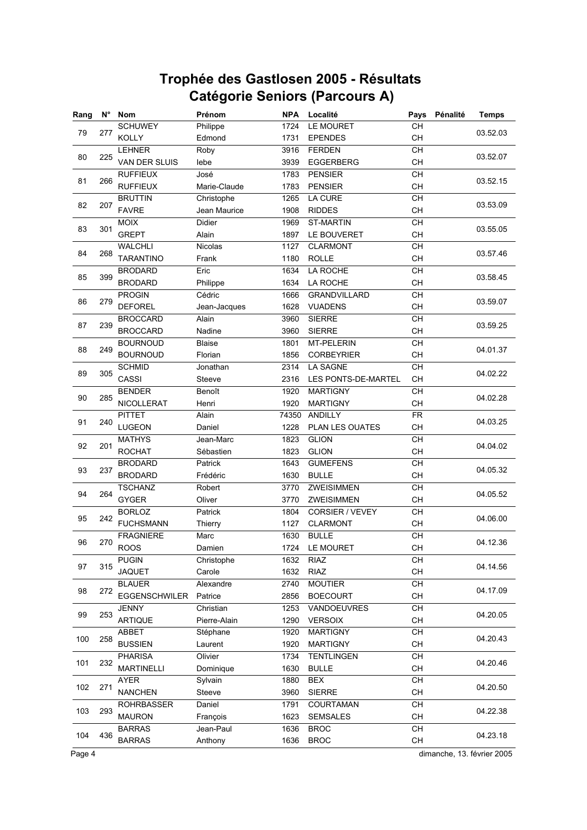| Rang | $N^{\circ}$ | Nom                  | Prénom        | <b>NPA</b> | Localité                                                                                                                                                                                                                                                                                                                                                                                                                                                                                                                                                                                                                                                                                                                                                                                                                                                          | Pays      | Pénalité | <b>Temps</b>                                                                                                                                                                                                                                                                                             |
|------|-------------|----------------------|---------------|------------|-------------------------------------------------------------------------------------------------------------------------------------------------------------------------------------------------------------------------------------------------------------------------------------------------------------------------------------------------------------------------------------------------------------------------------------------------------------------------------------------------------------------------------------------------------------------------------------------------------------------------------------------------------------------------------------------------------------------------------------------------------------------------------------------------------------------------------------------------------------------|-----------|----------|----------------------------------------------------------------------------------------------------------------------------------------------------------------------------------------------------------------------------------------------------------------------------------------------------------|
|      |             | <b>SCHUWEY</b>       | Philippe      | 1724       | LE MOURET                                                                                                                                                                                                                                                                                                                                                                                                                                                                                                                                                                                                                                                                                                                                                                                                                                                         | CH        |          |                                                                                                                                                                                                                                                                                                          |
| 79   | 277         | <b>KOLLY</b>         | Edmond        | 1731       | <b>EPENDES</b>                                                                                                                                                                                                                                                                                                                                                                                                                                                                                                                                                                                                                                                                                                                                                                                                                                                    | <b>CH</b> |          |                                                                                                                                                                                                                                                                                                          |
|      |             | <b>LEHNER</b>        | Roby          | 3916       | <b>FERDEN</b>                                                                                                                                                                                                                                                                                                                                                                                                                                                                                                                                                                                                                                                                                                                                                                                                                                                     | CH        |          |                                                                                                                                                                                                                                                                                                          |
| 80   | 225         | VAN DER SLUIS        | lebe          | 3939       | <b>EGGERBERG</b>                                                                                                                                                                                                                                                                                                                                                                                                                                                                                                                                                                                                                                                                                                                                                                                                                                                  | CH        |          | 03.52.03<br>03.52.07<br>03.52.15<br>03.53.09<br>03.55.05<br>03.57.46<br>03.58.45<br>03.59.07<br>03.59.25<br>04.01.37<br>04.02.22<br>04.02.28<br>04.03.25<br>04.04.02<br>04.05.32<br>04.05.52<br>04.06.00<br>04.12.36<br>04.14.56<br>04.17.09<br>04.20.05<br>04.20.43<br>04.20.46<br>04.20.50<br>04.22.38 |
|      |             | <b>RUFFIEUX</b>      | José          | 1783       | CH<br><b>PENSIER</b><br>CH<br><b>PENSIER</b><br><b>LA CURE</b><br><b>CH</b><br>CH<br><b>RIDDES</b><br>CH<br><b>ST-MARTIN</b><br>CH<br>LE BOUVERET<br>CH<br><b>CLARMONT</b><br>CH<br><b>ROLLE</b><br>LA ROCHE<br>CH<br>LA ROCHE<br><b>CH</b><br>CH<br><b>GRANDVILLARD</b><br><b>VUADENS</b><br><b>CH</b><br>CH<br><b>SIERRE</b><br><b>SIERRE</b><br><b>CH</b><br>CH<br>MT-PELERIN<br>CH<br><b>CORBEYRIER</b><br>CH<br><b>LA SAGNE</b><br><b>CH</b><br>LES PONTS-DE-MARTEL<br><b>CH</b><br><b>MARTIGNY</b><br>CН<br><b>MARTIGNY</b><br><b>FR</b><br>ANDILLY<br>CH<br>PLAN LES OUATES<br>CH<br><b>GLION</b><br><b>GLION</b><br><b>CH</b><br><b>CH</b><br><b>GUMEFENS</b><br><b>BULLE</b><br>CH<br>CH<br>ZWEISIMMEN<br>CH<br>ZWEISIMMEN<br><b>CH</b><br>CORSIER / VEVEY<br>CH<br><b>CLARMONT</b><br><b>BULLE</b><br><b>CH</b><br>CH<br>LE MOURET<br><b>RIAZ</b><br>CH |           |          |                                                                                                                                                                                                                                                                                                          |
| 81   | 266         | <b>RUFFIEUX</b>      | Marie-Claude  | 1783       |                                                                                                                                                                                                                                                                                                                                                                                                                                                                                                                                                                                                                                                                                                                                                                                                                                                                   |           |          |                                                                                                                                                                                                                                                                                                          |
|      |             | <b>BRUTTIN</b>       | Christophe    | 1265       |                                                                                                                                                                                                                                                                                                                                                                                                                                                                                                                                                                                                                                                                                                                                                                                                                                                                   |           |          |                                                                                                                                                                                                                                                                                                          |
| 82   | 207         | <b>FAVRE</b>         | Jean Maurice  | 1908       |                                                                                                                                                                                                                                                                                                                                                                                                                                                                                                                                                                                                                                                                                                                                                                                                                                                                   |           |          |                                                                                                                                                                                                                                                                                                          |
|      |             | <b>MOIX</b>          | <b>Didier</b> | 1969       |                                                                                                                                                                                                                                                                                                                                                                                                                                                                                                                                                                                                                                                                                                                                                                                                                                                                   |           |          |                                                                                                                                                                                                                                                                                                          |
| 83   | 301         | <b>GREPT</b>         | Alain         | 1897       |                                                                                                                                                                                                                                                                                                                                                                                                                                                                                                                                                                                                                                                                                                                                                                                                                                                                   |           |          |                                                                                                                                                                                                                                                                                                          |
|      |             | <b>WALCHLI</b>       | Nicolas       | 1127       |                                                                                                                                                                                                                                                                                                                                                                                                                                                                                                                                                                                                                                                                                                                                                                                                                                                                   |           |          |                                                                                                                                                                                                                                                                                                          |
| 84   | 268         | <b>TARANTINO</b>     | Frank         | 1180       |                                                                                                                                                                                                                                                                                                                                                                                                                                                                                                                                                                                                                                                                                                                                                                                                                                                                   |           |          |                                                                                                                                                                                                                                                                                                          |
|      |             | <b>BRODARD</b>       | Eric          | 1634       |                                                                                                                                                                                                                                                                                                                                                                                                                                                                                                                                                                                                                                                                                                                                                                                                                                                                   |           |          |                                                                                                                                                                                                                                                                                                          |
| 85   | 399         | <b>BRODARD</b>       | Philippe      | 1634       |                                                                                                                                                                                                                                                                                                                                                                                                                                                                                                                                                                                                                                                                                                                                                                                                                                                                   |           |          |                                                                                                                                                                                                                                                                                                          |
|      |             | <b>PROGIN</b>        | Cédric        | 1666       |                                                                                                                                                                                                                                                                                                                                                                                                                                                                                                                                                                                                                                                                                                                                                                                                                                                                   |           |          |                                                                                                                                                                                                                                                                                                          |
| 86   | 279         | <b>DEFOREL</b>       | Jean-Jacques  | 1628       |                                                                                                                                                                                                                                                                                                                                                                                                                                                                                                                                                                                                                                                                                                                                                                                                                                                                   |           |          |                                                                                                                                                                                                                                                                                                          |
|      |             | <b>BROCCARD</b>      | Alain         | 3960       |                                                                                                                                                                                                                                                                                                                                                                                                                                                                                                                                                                                                                                                                                                                                                                                                                                                                   |           |          |                                                                                                                                                                                                                                                                                                          |
| 87   | 239         | <b>BROCCARD</b>      | Nadine        | 3960       |                                                                                                                                                                                                                                                                                                                                                                                                                                                                                                                                                                                                                                                                                                                                                                                                                                                                   |           |          |                                                                                                                                                                                                                                                                                                          |
|      |             | <b>BOURNOUD</b>      | <b>Blaise</b> | 1801       |                                                                                                                                                                                                                                                                                                                                                                                                                                                                                                                                                                                                                                                                                                                                                                                                                                                                   |           |          |                                                                                                                                                                                                                                                                                                          |
| 88   | 249         | <b>BOURNOUD</b>      | Florian       | 1856       |                                                                                                                                                                                                                                                                                                                                                                                                                                                                                                                                                                                                                                                                                                                                                                                                                                                                   |           |          |                                                                                                                                                                                                                                                                                                          |
|      |             | <b>SCHMID</b>        | Jonathan      | 2314       |                                                                                                                                                                                                                                                                                                                                                                                                                                                                                                                                                                                                                                                                                                                                                                                                                                                                   |           |          |                                                                                                                                                                                                                                                                                                          |
| 89   | 305         | CASSI                | Steeve        | 2316       |                                                                                                                                                                                                                                                                                                                                                                                                                                                                                                                                                                                                                                                                                                                                                                                                                                                                   |           |          |                                                                                                                                                                                                                                                                                                          |
|      |             | <b>BENDER</b>        | Benoît        | 1920       |                                                                                                                                                                                                                                                                                                                                                                                                                                                                                                                                                                                                                                                                                                                                                                                                                                                                   |           |          |                                                                                                                                                                                                                                                                                                          |
| 90   | 285         | NICOLLERAT           | Henri         | 1920       |                                                                                                                                                                                                                                                                                                                                                                                                                                                                                                                                                                                                                                                                                                                                                                                                                                                                   |           |          |                                                                                                                                                                                                                                                                                                          |
|      |             | <b>PITTET</b>        | Alain         | 74350      |                                                                                                                                                                                                                                                                                                                                                                                                                                                                                                                                                                                                                                                                                                                                                                                                                                                                   |           |          |                                                                                                                                                                                                                                                                                                          |
| 91   | 240         | LUGEON               | Daniel        | 1228       |                                                                                                                                                                                                                                                                                                                                                                                                                                                                                                                                                                                                                                                                                                                                                                                                                                                                   |           |          |                                                                                                                                                                                                                                                                                                          |
|      |             | <b>MATHYS</b>        | Jean-Marc     | 1823       |                                                                                                                                                                                                                                                                                                                                                                                                                                                                                                                                                                                                                                                                                                                                                                                                                                                                   |           |          |                                                                                                                                                                                                                                                                                                          |
| 92   | 201         | <b>ROCHAT</b>        | Sébastien     | 1823       |                                                                                                                                                                                                                                                                                                                                                                                                                                                                                                                                                                                                                                                                                                                                                                                                                                                                   |           |          |                                                                                                                                                                                                                                                                                                          |
|      |             | <b>BRODARD</b>       | Patrick       | 1643       |                                                                                                                                                                                                                                                                                                                                                                                                                                                                                                                                                                                                                                                                                                                                                                                                                                                                   |           |          |                                                                                                                                                                                                                                                                                                          |
| 93   | 237         | <b>BRODARD</b>       | Frédéric      | 1630       |                                                                                                                                                                                                                                                                                                                                                                                                                                                                                                                                                                                                                                                                                                                                                                                                                                                                   |           |          |                                                                                                                                                                                                                                                                                                          |
|      |             | <b>TSCHANZ</b>       | Robert        | 3770       |                                                                                                                                                                                                                                                                                                                                                                                                                                                                                                                                                                                                                                                                                                                                                                                                                                                                   |           |          |                                                                                                                                                                                                                                                                                                          |
| 94   | 264         | <b>GYGER</b>         | Oliver        | 3770       |                                                                                                                                                                                                                                                                                                                                                                                                                                                                                                                                                                                                                                                                                                                                                                                                                                                                   |           |          |                                                                                                                                                                                                                                                                                                          |
|      |             | <b>BORLOZ</b>        | Patrick       | 1804       |                                                                                                                                                                                                                                                                                                                                                                                                                                                                                                                                                                                                                                                                                                                                                                                                                                                                   |           |          |                                                                                                                                                                                                                                                                                                          |
| 95   | 242         | <b>FUCHSMANN</b>     | Thierry       | 1127       |                                                                                                                                                                                                                                                                                                                                                                                                                                                                                                                                                                                                                                                                                                                                                                                                                                                                   |           |          |                                                                                                                                                                                                                                                                                                          |
|      |             | <b>FRAGNIERE</b>     | Marc          | 1630       |                                                                                                                                                                                                                                                                                                                                                                                                                                                                                                                                                                                                                                                                                                                                                                                                                                                                   |           |          |                                                                                                                                                                                                                                                                                                          |
| 96   | 270         | <b>ROOS</b>          | Damien        | 1724       |                                                                                                                                                                                                                                                                                                                                                                                                                                                                                                                                                                                                                                                                                                                                                                                                                                                                   |           |          |                                                                                                                                                                                                                                                                                                          |
|      |             | <b>PUGIN</b>         | Christophe    | 1632       |                                                                                                                                                                                                                                                                                                                                                                                                                                                                                                                                                                                                                                                                                                                                                                                                                                                                   |           |          |                                                                                                                                                                                                                                                                                                          |
| 97   | 315         | <b>JAQUET</b>        | Carole        | 1632       | <b>RIAZ</b>                                                                                                                                                                                                                                                                                                                                                                                                                                                                                                                                                                                                                                                                                                                                                                                                                                                       | CH        |          |                                                                                                                                                                                                                                                                                                          |
|      |             | <b>BLAUER</b>        | Alexandre     | 2740       | <b>MOUTIER</b>                                                                                                                                                                                                                                                                                                                                                                                                                                                                                                                                                                                                                                                                                                                                                                                                                                                    | CH        |          |                                                                                                                                                                                                                                                                                                          |
| 98   | 272         | <b>EGGENSCHWILER</b> | Patrice       | 2856       | <b>BOECOURT</b>                                                                                                                                                                                                                                                                                                                                                                                                                                                                                                                                                                                                                                                                                                                                                                                                                                                   | CH        |          |                                                                                                                                                                                                                                                                                                          |
|      |             | <b>JENNY</b>         | Christian     | 1253       | VANDOEUVRES                                                                                                                                                                                                                                                                                                                                                                                                                                                                                                                                                                                                                                                                                                                                                                                                                                                       | CH        |          |                                                                                                                                                                                                                                                                                                          |
| 99   | 253         | <b>ARTIQUE</b>       | Pierre-Alain  | 1290       | <b>VERSOIX</b>                                                                                                                                                                                                                                                                                                                                                                                                                                                                                                                                                                                                                                                                                                                                                                                                                                                    | CH        |          |                                                                                                                                                                                                                                                                                                          |
|      |             | ABBET                | Stéphane      | 1920       | <b>MARTIGNY</b>                                                                                                                                                                                                                                                                                                                                                                                                                                                                                                                                                                                                                                                                                                                                                                                                                                                   | CH        |          |                                                                                                                                                                                                                                                                                                          |
| 100  | 258         | <b>BUSSIEN</b>       | Laurent       | 1920       | <b>MARTIGNY</b>                                                                                                                                                                                                                                                                                                                                                                                                                                                                                                                                                                                                                                                                                                                                                                                                                                                   | CH        |          |                                                                                                                                                                                                                                                                                                          |
|      |             | <b>PHARISA</b>       | Olivier       | 1734       | <b>TENTLINGEN</b>                                                                                                                                                                                                                                                                                                                                                                                                                                                                                                                                                                                                                                                                                                                                                                                                                                                 | CH        |          |                                                                                                                                                                                                                                                                                                          |
| 101  | 232         | <b>MARTINELLI</b>    | Dominique     | 1630       | <b>BULLE</b>                                                                                                                                                                                                                                                                                                                                                                                                                                                                                                                                                                                                                                                                                                                                                                                                                                                      | CH        |          |                                                                                                                                                                                                                                                                                                          |
|      |             | <b>AYER</b>          | Sylvain       | 1880       | <b>BEX</b>                                                                                                                                                                                                                                                                                                                                                                                                                                                                                                                                                                                                                                                                                                                                                                                                                                                        | CH        |          |                                                                                                                                                                                                                                                                                                          |
| 102  | 271         | <b>NANCHEN</b>       | Steeve        | 3960       | <b>SIERRE</b>                                                                                                                                                                                                                                                                                                                                                                                                                                                                                                                                                                                                                                                                                                                                                                                                                                                     | CH        |          |                                                                                                                                                                                                                                                                                                          |
|      |             | <b>ROHRBASSER</b>    | Daniel        | 1791       | COURTAMAN                                                                                                                                                                                                                                                                                                                                                                                                                                                                                                                                                                                                                                                                                                                                                                                                                                                         | CH        |          |                                                                                                                                                                                                                                                                                                          |
| 103  | 293         | <b>MAURON</b>        | François      | 1623       | <b>SEMSALES</b>                                                                                                                                                                                                                                                                                                                                                                                                                                                                                                                                                                                                                                                                                                                                                                                                                                                   | CH        |          |                                                                                                                                                                                                                                                                                                          |
|      |             | <b>BARRAS</b>        | Jean-Paul     | 1636       | <b>BROC</b>                                                                                                                                                                                                                                                                                                                                                                                                                                                                                                                                                                                                                                                                                                                                                                                                                                                       | CH        |          |                                                                                                                                                                                                                                                                                                          |
| 104  | 436         | <b>BARRAS</b>        | Anthony       | 1636       | <b>BROC</b>                                                                                                                                                                                                                                                                                                                                                                                                                                                                                                                                                                                                                                                                                                                                                                                                                                                       | CH        |          | 04.23.18                                                                                                                                                                                                                                                                                                 |
|      |             |                      |               |            |                                                                                                                                                                                                                                                                                                                                                                                                                                                                                                                                                                                                                                                                                                                                                                                                                                                                   |           |          |                                                                                                                                                                                                                                                                                                          |

Page 4 dimanche, 13. février 2005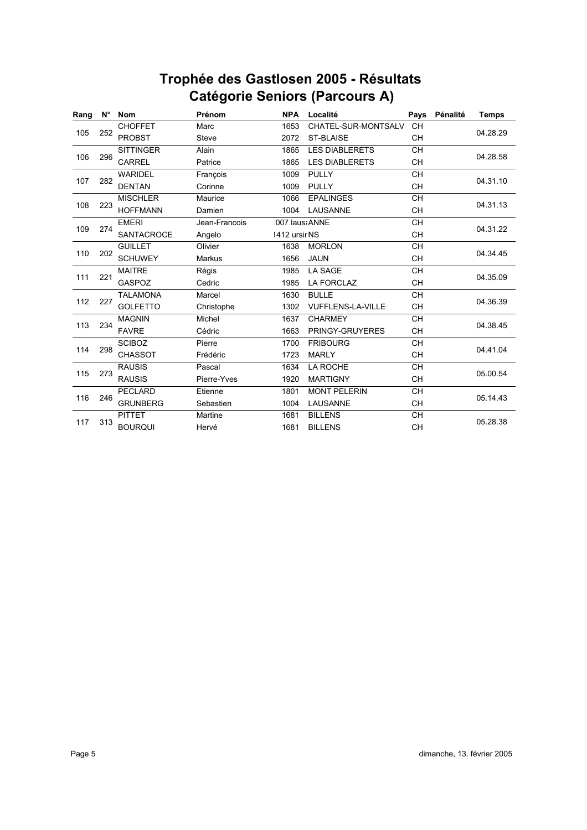| Rang | N°         | <b>Nom</b>        | Prénom        | <b>NPA</b>    | Localité                 | Pays      | Pénalité | <b>Temps</b>                                                                                                                     |
|------|------------|-------------------|---------------|---------------|--------------------------|-----------|----------|----------------------------------------------------------------------------------------------------------------------------------|
|      |            | <b>CHOFFET</b>    | Marc          | 1653          | CHATEL-SUR-MONTSALV      | <b>CH</b> |          | 04.28.29<br>04.28.58<br>04.31.10<br>04.31.13<br>04.31.22<br>04.34.45<br>04.35.09<br>04.36.39<br>04.38.45<br>04.41.04<br>05.00.54 |
| 105  | 252        | <b>PROBST</b>     | Steve         | 2072          | <b>ST-BLAISE</b>         | <b>CH</b> |          |                                                                                                                                  |
|      |            | <b>SITTINGER</b>  | Alain         | 1865          | <b>LES DIABLERETS</b>    | <b>CH</b> |          |                                                                                                                                  |
| 106  | 296        | <b>CARREL</b>     | Patrice       | 1865          | <b>LES DIABLERETS</b>    | <b>CH</b> |          |                                                                                                                                  |
|      |            | <b>WARIDEL</b>    | François      | 1009          | <b>PULLY</b>             | <b>CH</b> |          |                                                                                                                                  |
| 107  | 282        | <b>DENTAN</b>     | Corinne       | 1009          | <b>PULLY</b>             | <b>CH</b> |          |                                                                                                                                  |
|      |            | <b>MISCHLER</b>   | Maurice       | 1066          | <b>EPALINGES</b>         | <b>CH</b> |          |                                                                                                                                  |
| 108  | 223        | <b>HOFFMANN</b>   | Damien        | 1004          | LAUSANNE                 | <b>CH</b> |          |                                                                                                                                  |
|      |            | <b>EMERI</b>      | Jean-Francois | 007 laus ANNE |                          | <b>CH</b> |          |                                                                                                                                  |
| 109  | 274        | <b>SANTACROCE</b> | Angelo        | 1412 ursir NS |                          | <b>CH</b> |          |                                                                                                                                  |
| 110  |            | <b>GUILLET</b>    | Olivier       | 1638          | <b>MORLON</b>            | <b>CH</b> |          |                                                                                                                                  |
|      | 202<br>221 | <b>SCHUWEY</b>    | <b>Markus</b> | 1656          | <b>JAUN</b>              | <b>CH</b> |          |                                                                                                                                  |
|      |            | <b>MAITRE</b>     | Régis         | 1985          | LA SAGE                  | <b>CH</b> |          |                                                                                                                                  |
| 111  |            | <b>GASPOZ</b>     | Cedric        | 1985          | LA FORCLAZ               | <b>CH</b> |          |                                                                                                                                  |
|      |            | <b>TALAMONA</b>   | Marcel        | 1630          | <b>BULLE</b>             | <b>CH</b> |          |                                                                                                                                  |
| 112  | 227        | <b>GOLFETTO</b>   | Christophe    | 1302          | <b>VUFFLENS-LA-VILLE</b> | <b>CH</b> |          |                                                                                                                                  |
|      |            | <b>MAGNIN</b>     | Michel        | 1637          | <b>CHARMEY</b>           | <b>CH</b> |          |                                                                                                                                  |
| 113  | 234        | <b>FAVRE</b>      | Cédric        | 1663          | PRINGY-GRUYERES          | <b>CH</b> |          |                                                                                                                                  |
|      |            | <b>SCIBOZ</b>     | Pierre        | 1700          | <b>FRIBOURG</b>          | <b>CH</b> |          |                                                                                                                                  |
| 114  | 298        | <b>CHASSOT</b>    | Frédéric      | 1723          | <b>MARLY</b>             | <b>CH</b> |          |                                                                                                                                  |
|      |            | <b>RAUSIS</b>     | Pascal        | 1634          | LA ROCHE                 | <b>CH</b> |          |                                                                                                                                  |
| 115  | 273        | <b>RAUSIS</b>     | Pierre-Yves   | 1920          | <b>MARTIGNY</b>          | <b>CH</b> |          |                                                                                                                                  |
| 116  |            | <b>PECLARD</b>    | Etienne       | 1801          | <b>MONT PELERIN</b>      | <b>CH</b> |          |                                                                                                                                  |
|      | 246        | <b>GRUNBERG</b>   | Sebastien     | 1004          | <b>LAUSANNE</b>          | <b>CH</b> |          | 05.14.43                                                                                                                         |
| 117  |            | <b>PITTET</b>     | Martine       | 1681          | <b>BILLENS</b>           | <b>CH</b> |          |                                                                                                                                  |
|      | 313        | <b>BOURQUI</b>    | Hervé         | 1681          | <b>BILLENS</b>           | CH        |          | 05.28.38                                                                                                                         |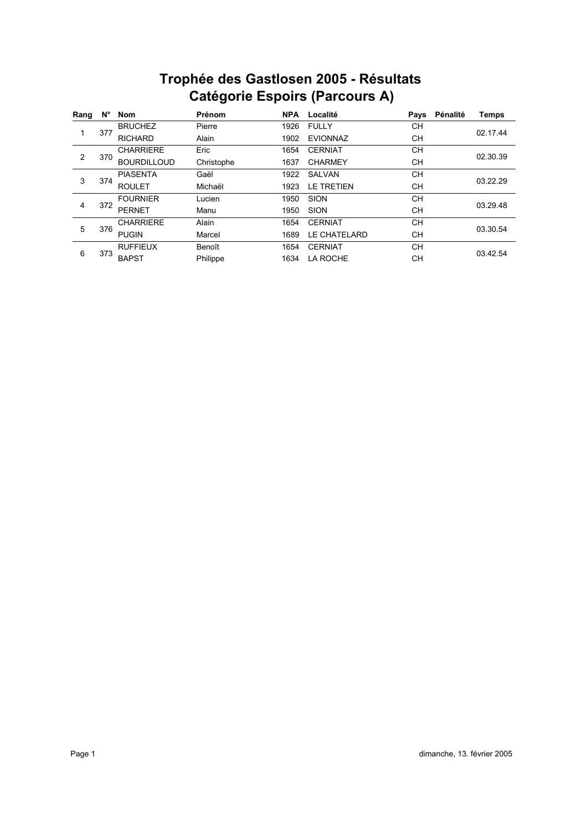| Rang | N°  | <b>Nom</b>         | Prénom     | <b>NPA</b> | Localité            | Pays      | Pénalité | <b>Temps</b> |
|------|-----|--------------------|------------|------------|---------------------|-----------|----------|--------------|
|      |     | <b>BRUCHEZ</b>     | Pierre     | 1926       | <b>FULLY</b>        | CН        |          |              |
|      | 377 | <b>RICHARD</b>     | Alain      | 1902       | <b>EVIONNAZ</b>     | CН        |          | 02.17.44     |
|      |     | <b>CHARRIERE</b>   | Eric       | 1654       | <b>CERNIAT</b>      | <b>CH</b> |          |              |
| 2    | 370 | <b>BOURDILLOUD</b> | Christophe | 1637       | <b>CHARMEY</b>      | CН        |          | 02.30.39     |
| 3    |     | <b>PIASENTA</b>    | Gaël       | 1922       | <b>SALVAN</b>       | <b>CH</b> |          |              |
|      | 374 | <b>ROULET</b>      | Michaël    | 1923       | <b>LE TRETIEN</b>   | CН        |          | 03.22.29     |
|      |     | <b>FOURNIER</b>    | Lucien     | 1950       | <b>SION</b>         | <b>CH</b> |          |              |
| 4    | 372 | <b>PERNET</b>      | Manu       | 1950       | <b>SION</b>         | CН        |          | 03.29.48     |
|      |     | <b>CHARRIERE</b>   | Alain      | 1654       | <b>CERNIAT</b>      | <b>CH</b> |          |              |
| 5    | 376 | <b>PUGIN</b>       | Marcel     | 1689       | <b>LE CHATELARD</b> | CН        |          | 03.30.54     |
| 6    |     | <b>RUFFIEUX</b>    | Benoît     | 1654       | <b>CERNIAT</b>      | <b>CH</b> |          |              |
|      | 373 | <b>BAPST</b>       | Philippe   | 1634       | LA ROCHE            | CН        |          | 03.42.54     |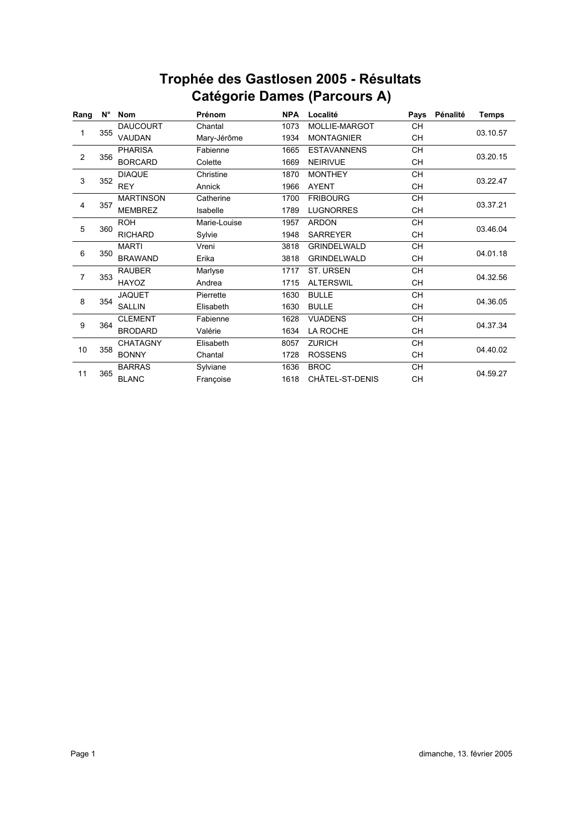| Rang | N°       | <b>Nom</b>       | Prénom       | <b>NPA</b> | Localité           | Pays      | Pénalité | <b>Temps</b>         |
|------|----------|------------------|--------------|------------|--------------------|-----------|----------|----------------------|
|      |          | <b>DAUCOURT</b>  | Chantal      | 1073       | MOLLIE-MARGOT      | <b>CH</b> |          |                      |
| 1    | 355      | VAUDAN           | Mary-Jérôme  | 1934       | <b>MONTAGNIER</b>  | <b>CH</b> |          | 03.10.57             |
|      |          | <b>PHARISA</b>   | Fabienne     | 1665       | <b>ESTAVANNENS</b> | <b>CH</b> |          |                      |
| 2    | 356      | <b>BORCARD</b>   | Colette      | 1669       | <b>NEIRIVUE</b>    | CН        |          | 03.20.15             |
|      |          | <b>DIAQUE</b>    | Christine    | 1870       | <b>MONTHEY</b>     | <b>CH</b> |          |                      |
| 3    | 352      | <b>REY</b>       | Annick       | 1966       | <b>AYENT</b>       | CН        |          | 03.22.47             |
|      |          | <b>MARTINSON</b> | Catherine    | 1700       | <b>FRIBOURG</b>    | <b>CH</b> |          |                      |
| 4    | 357      | <b>MEMBREZ</b>   | Isabelle     | 1789       | <b>LUGNORRES</b>   | CН        |          | 03.37.21             |
|      | 5<br>360 | <b>ROH</b>       | Marie-Louise | 1957       | <b>ARDON</b>       | <b>CH</b> |          |                      |
|      |          | <b>RICHARD</b>   | Sylvie       | 1948       | <b>SARREYER</b>    | <b>CH</b> |          |                      |
|      |          | <b>MARTI</b>     | Vreni        | 3818       | <b>GRINDELWALD</b> | CН        |          | 03.46.04<br>04.01.18 |
| 6    | 350      | <b>BRAWAND</b>   | Erika        | 3818       | <b>GRINDELWALD</b> | <b>CH</b> |          |                      |
|      |          | <b>RAUBER</b>    | Marlyse      | 1717       | <b>ST. URSEN</b>   | <b>CH</b> |          |                      |
| 7    | 353      | HAYOZ            | Andrea       | 1715       | <b>ALTERSWIL</b>   | CH        |          | 04.32.56             |
|      |          | <b>JAQUET</b>    | Pierrette    | 1630       | <b>BULLE</b>       | CН        |          |                      |
| 8    | 354      | <b>SALLIN</b>    | Elisabeth    | 1630       | <b>BULLE</b>       | CН        |          | 04.36.05             |
|      |          | <b>CLEMENT</b>   | Fabienne     | 1628       | <b>VUADENS</b>     | <b>CH</b> |          |                      |
| 9    | 364      | <b>BRODARD</b>   | Valérie      | 1634       | LA ROCHE           | CН        |          | 04.37.34             |
|      |          | <b>CHATAGNY</b>  | Elisabeth    | 8057       | <b>ZURICH</b>      | CH        |          |                      |
| 10   | 358      | <b>BONNY</b>     | Chantal      | 1728       | <b>ROSSENS</b>     | CН        |          | 04.40.02             |
| 11   |          | <b>BARRAS</b>    | Sylviane     | 1636       | <b>BROC</b>        | CH        |          |                      |
|      | 365      | <b>BLANC</b>     | Françoise    | 1618       | CHÂTEL-ST-DENIS    | <b>CH</b> |          | 04.59.27             |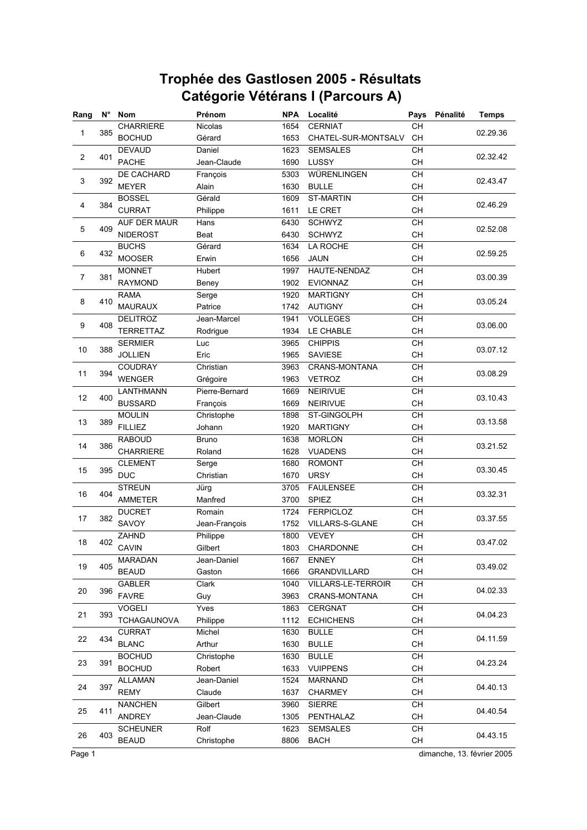| Rang                    | $N^{\circ}$ | <b>Nom</b>         | Prénom         | <b>NPA</b> | Localité             | Pays            | Pénalité | <b>Temps</b> |
|-------------------------|-------------|--------------------|----------------|------------|----------------------|-----------------|----------|--------------|
|                         | 385         | <b>CHARRIERE</b>   | <b>Nicolas</b> | 1654       | <b>CERNIAT</b>       | CH              |          |              |
| 1                       |             | <b>BOCHUD</b>      | Gérard         | 1653       | CHATEL-SUR-MONTSALV  | <b>CH</b>       |          | 02.29.36     |
|                         |             | <b>DEVAUD</b>      | Daniel         | 1623       | <b>SEMSALES</b>      | CH              |          |              |
| $\overline{\mathbf{c}}$ | 401         | <b>PACHE</b>       | Jean-Claude    | 1690       | LUSSY                | CH              |          | 02.32.42     |
|                         |             | DE CACHARD         | François       | 5303       | WÜRENLINGEN          | CH              |          |              |
| 3                       | 392         | <b>MEYER</b>       | Alain          | 1630       | <b>BULLE</b>         | CH              |          | 02.43.47     |
|                         |             | <b>BOSSEL</b>      | Gérald         | 1609       | <b>ST-MARTIN</b>     | <b>CH</b>       |          |              |
| 4                       | 384         | <b>CURRAT</b>      | Philippe       | 1611       | LE CRET              | <b>CH</b>       |          | 02.46.29     |
|                         |             | AUF DER MAUR       | Hans           | 6430       | <b>SCHWYZ</b>        | <b>CH</b>       |          |              |
| 5                       | 409         | <b>NIDEROST</b>    | Beat           | 6430       | <b>SCHWYZ</b>        | CH              |          | 02.52.08     |
|                         |             | <b>BUCHS</b>       | Gérard         | 1634       | LA ROCHE             | CH              |          |              |
| 6                       | 432         | <b>MOOSER</b>      | Erwin          | 1656       | <b>JAUN</b>          | <b>CH</b>       |          | 02.59.25     |
|                         |             | <b>MONNET</b>      | Hubert         | 1997       | HAUTE-NENDAZ         | <b>CH</b>       |          |              |
| 7                       | 381         | <b>RAYMOND</b>     | Beney          | 1902       | <b>EVIONNAZ</b>      | <b>CH</b>       |          | 03.00.39     |
|                         |             | <b>RAMA</b>        | Serge          | 1920       | <b>MARTIGNY</b>      | CH              |          |              |
| 8                       | 410         | <b>MAURAUX</b>     | Patrice        | 1742       | <b>AUTIGNY</b>       | <b>CH</b>       |          | 03.05.24     |
|                         |             | <b>DELITROZ</b>    | Jean-Marcel    | 1941       | <b>VOLLEGES</b>      | CH              |          |              |
| 9                       | 408         | <b>TERRETTAZ</b>   | Rodrigue       | 1934       | LE CHABLE            | CH              |          | 03.06.00     |
|                         |             | <b>SERMIER</b>     | Luc            | 3965       | <b>CHIPPIS</b>       | $\overline{CH}$ |          |              |
| $10$                    | 388         | <b>JOLLIEN</b>     | Eric           | 1965       | <b>SAVIESE</b>       | CH              |          | 03.07.12     |
|                         |             | <b>COUDRAY</b>     | Christian      | 3963       | <b>CRANS-MONTANA</b> | CH              |          |              |
| 11                      | 394         | <b>WENGER</b>      | Grégoire       | 1963       | <b>VETROZ</b>        | <b>CH</b>       |          | 03.08.29     |
|                         |             | LANTHMANN          | Pierre-Bernard | 1669       | <b>NEIRIVUE</b>      | CH              |          |              |
| 12                      | 400         | <b>BUSSARD</b>     | François       | 1669       | <b>NEIRIVUE</b>      | <b>CH</b>       |          | 03.10.43     |
|                         |             | <b>MOULIN</b>      | Christophe     | 1898       | ST-GINGOLPH          | CH              |          |              |
| 13                      | 389         | <b>FILLIEZ</b>     | Johann         | 1920       | <b>MARTIGNY</b>      | <b>CH</b>       |          | 03.13.58     |
|                         | 386         | <b>RABOUD</b>      | <b>Bruno</b>   | 1638       | <b>MORLON</b>        | CH              |          |              |
| 14                      |             | <b>CHARRIERE</b>   | Roland         | 1628       | <b>VUADENS</b>       | CH              |          | 03.21.52     |
|                         |             | <b>CLEMENT</b>     | Serge          | 1680       | <b>ROMONT</b>        | CH              |          |              |
| 15                      | 395         | <b>DUC</b>         | Christian      | 1670       | <b>URSY</b>          | <b>CH</b>       |          | 03.30.45     |
|                         | 404         | <b>STREUN</b>      | Jürg           | 3705       | <b>FAULENSEE</b>     | <b>CH</b>       |          |              |
| 16                      |             | <b>AMMETER</b>     | Manfred        | 3700       | <b>SPIEZ</b>         | CH              |          | 03.32.31     |
|                         |             | <b>DUCRET</b>      | Romain         | 1724       | <b>FERPICLOZ</b>     | CH              |          |              |
| 17                      | 382         | SAVOY              | Jean-François  | 1752       | VILLARS-S-GLANE      | CH              |          | 03.37.55     |
|                         | 402         | ZAHND              | Philippe       | 1800       | <b>VEVEY</b>         | <b>CH</b>       |          |              |
| 18                      |             | <b>CAVIN</b>       | Gilbert        | 1803       | <b>CHARDONNE</b>     | <b>CH</b>       |          | 03.47.02     |
| 19                      | 405         | <b>MARADAN</b>     | Jean-Daniel    | 1667       | <b>ENNEY</b>         | CH              |          | 03.49.02     |
|                         |             | <b>BEAUD</b>       | Gaston         | 1666       | GRANDVILLARD         | CH              |          |              |
|                         |             | <b>GABLER</b>      | Clark          | 1040       | VILLARS-LE-TERROIR   | СH              |          | 04.02.33     |
| 20                      | 396         | <b>FAVRE</b>       | Guy            | 3963       | CRANS-MONTANA        | CH              |          |              |
|                         |             | <b>VOGELI</b>      | Yves           | 1863       | CERGNAT              | CH              |          |              |
| 21                      | 393         | <b>TCHAGAUNOVA</b> | Philippe       | 1112       | <b>ECHICHENS</b>     | CH              |          | 04.04.23     |
|                         |             | <b>CURRAT</b>      | Michel         | 1630       | <b>BULLE</b>         | CH              |          |              |
| 22                      | 434         | <b>BLANC</b>       | Arthur         | 1630       | <b>BULLE</b>         | CH              |          | 04.11.59     |
|                         |             | <b>BOCHUD</b>      | Christophe     | 1630       | <b>BULLE</b>         | CH              |          |              |
| 23                      | 391         | <b>BOCHUD</b>      | Robert         | 1633       | <b>VUIPPENS</b>      | CH              |          | 04.23.24     |
|                         |             | <b>ALLAMAN</b>     | Jean-Daniel    | 1524       | <b>MARNAND</b>       | CH              |          |              |
| 24                      | 397         | <b>REMY</b>        | Claude         | 1637       | <b>CHARMEY</b>       | CH              |          | 04.40.13     |
|                         |             | <b>NANCHEN</b>     | Gilbert        | 3960       | <b>SIERRE</b>        | CH              |          |              |
| 25                      | 411         | ANDREY             | Jean-Claude    | 1305       | PENTHALAZ            | CH              |          | 04.40.54     |
|                         |             | <b>SCHEUNER</b>    | Rolf           | 1623       | <b>SEMSALES</b>      | CH              |          |              |
| 26                      | 403         | <b>BEAUD</b>       | Christophe     | 8806       | <b>BACH</b>          | CH              |          | 04.43.15     |

Page 1 dimanche, 13. février 2005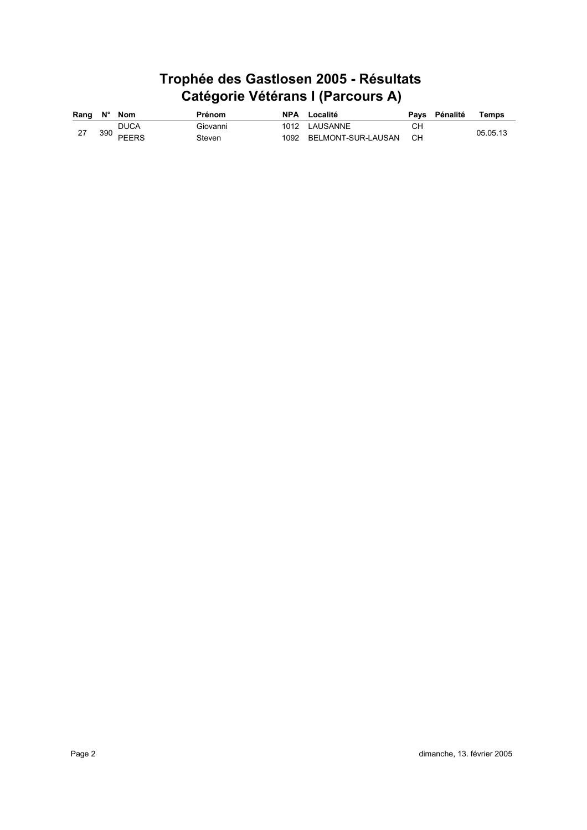| Rang $N^{\circ}$ Nom |     |              | <b>Prénom</b> | <b>NPA</b> Localité     |      | Pays Pénalité | Temps    |
|----------------------|-----|--------------|---------------|-------------------------|------|---------------|----------|
|                      |     | DUCA         | Giovanni      | 1012 LAUSANNE           | CН   |               |          |
|                      | 390 | <b>PEERS</b> | Steven        | 1092 BELMONT-SUR-LAUSAN | - CH |               | 05.05.13 |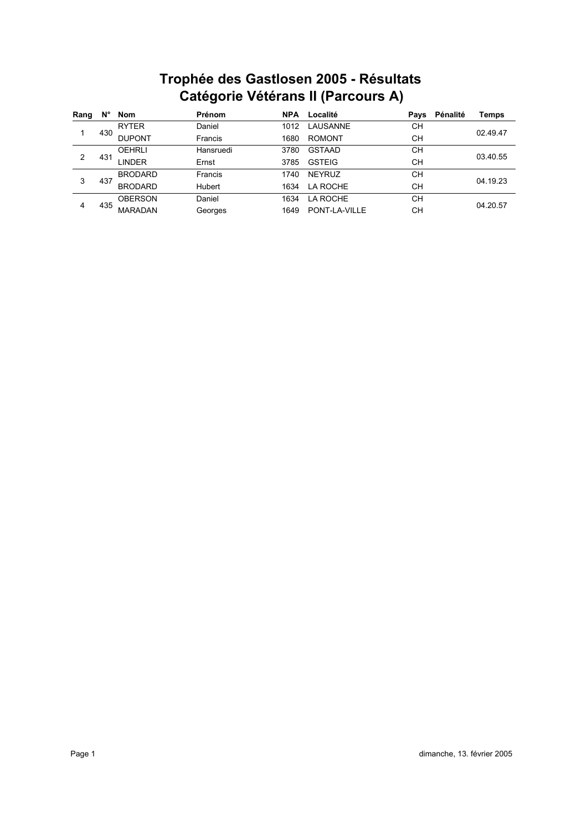# **Catégorie Vétérans II (Parcours A) Trophée des Gastlosen 2005 - Résultats**

| Rang | N°  | Nom            | <b>Prénom</b>  | <b>NPA</b> | Localité      | Pays      | Pénalité | Temps                                        |
|------|-----|----------------|----------------|------------|---------------|-----------|----------|----------------------------------------------|
|      |     | <b>RYTER</b>   | Daniel         | 1012       | LAUSANNE      | CН        |          |                                              |
|      | 430 | <b>DUPONT</b>  | Francis        | 1680       | <b>ROMONT</b> | CН        |          | 02.49.47<br>03.40.55<br>04.19.23<br>04.20.57 |
|      |     | <b>OEHRLI</b>  | Hansruedi      | 3780       | <b>GSTAAD</b> | <b>CH</b> |          |                                              |
| 2    | 431 | LINDER         | Ernst          | 3785       | <b>GSTEIG</b> | CН        |          |                                              |
|      |     | <b>BRODARD</b> | <b>Francis</b> | 1740       | <b>NEYRUZ</b> | CН        |          |                                              |
| 3    | 437 | <b>BRODARD</b> | <b>Hubert</b>  | 1634       | LA ROCHE      | CН        |          |                                              |
| 4    |     | <b>OBERSON</b> | Daniel         | 1634       | LA ROCHE      | CН        |          |                                              |
|      | 435 | <b>MARADAN</b> | Georges        | 1649       | PONT-LA-VILLE | CН        |          |                                              |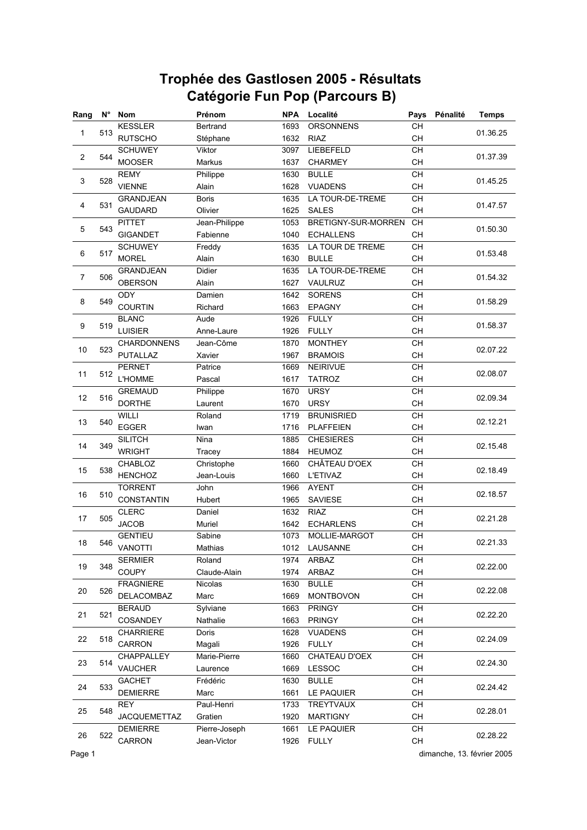| Rang           |     | N° Nom              | Prénom         | <b>NPA</b> | Localité            | Pays      | Pénalité | <b>Temps</b>                                                                                 |
|----------------|-----|---------------------|----------------|------------|---------------------|-----------|----------|----------------------------------------------------------------------------------------------|
|                |     | <b>KESSLER</b>      | Bertrand       | 1693       | ORSONNENS           | CH        |          | 01.36.25                                                                                     |
| 1              | 513 | <b>RUTSCHO</b>      | Stéphane       | 1632       | <b>RIAZ</b>         | CH        |          |                                                                                              |
|                |     | <b>SCHUWEY</b>      | Viktor         | 3097       | LIEBEFELD           | CH        |          |                                                                                              |
| $\overline{2}$ | 544 | <b>MOOSER</b>       | Markus         | 1637       | <b>CHARMEY</b>      | CH        |          | 01.37.39                                                                                     |
|                |     | <b>REMY</b>         | Philippe       | 1630       | <b>BULLE</b>        | CH        |          |                                                                                              |
| 3              | 528 | <b>VIENNE</b>       | Alain          | 1628       | <b>VUADENS</b>      | CH        |          | 01.45.25                                                                                     |
|                |     | <b>GRANDJEAN</b>    | <b>Boris</b>   | 1635       | LA TOUR-DE-TREME    | <b>CH</b> |          |                                                                                              |
| 4              | 531 | <b>GAUDARD</b>      | Olivier        | 1625       | <b>SALES</b>        | CH        |          | 01.47.57                                                                                     |
|                |     | <b>PITTET</b>       | Jean-Philippe  | 1053       | BRETIGNY-SUR-MORREN | <b>CH</b> |          |                                                                                              |
| 5              | 543 | <b>GIGANDET</b>     | Fabienne       | 1040       | <b>ECHALLENS</b>    | CH        |          | 01.50.30                                                                                     |
|                |     | <b>SCHUWEY</b>      | Freddy         | 1635       | LA TOUR DE TREME    | CH        |          |                                                                                              |
| 6              | 517 | <b>MOREL</b>        | Alain          | 1630       | <b>BULLE</b>        | <b>CH</b> |          | 01.53.48                                                                                     |
|                |     | <b>GRANDJEAN</b>    | Didier         | 1635       | LA TOUR-DE-TREME    | CH        |          |                                                                                              |
| $\overline{7}$ | 506 | <b>OBERSON</b>      | Alain          | 1627       | VAULRUZ             | <b>CH</b> |          | 01.54.32                                                                                     |
|                |     | ODY                 | Damien         | 1642       | <b>SORENS</b>       | CH        |          |                                                                                              |
| 8              | 549 | <b>COURTIN</b>      | Richard        | 1663       | <b>EPAGNY</b>       | <b>CH</b> |          | 01.58.29                                                                                     |
|                |     | <b>BLANC</b>        | Aude           | 1926       | <b>FULLY</b>        | CH        |          |                                                                                              |
| 9              | 519 | <b>LUISIER</b>      | Anne-Laure     | 1926       | <b>FULLY</b>        | CH        |          | 01.58.37                                                                                     |
|                |     | <b>CHARDONNENS</b>  | Jean-Côme      | 1870       | <b>MONTHEY</b>      | CH        |          |                                                                                              |
| 10             | 523 | <b>PUTALLAZ</b>     | Xavier         | 1967       | <b>BRAMOIS</b>      | <b>CH</b> |          | 02.07.22                                                                                     |
|                |     | <b>PERNET</b>       | Patrice        | 1669       | <b>NEIRIVUE</b>     | CH        |          |                                                                                              |
| 11             | 512 | L'HOMME             | Pascal         | 1617       | <b>TATROZ</b>       | CН        |          | 02.08.07                                                                                     |
|                |     | <b>GREMAUD</b>      | Philippe       | 1670       | <b>URSY</b>         | CH        |          |                                                                                              |
| 12             | 516 | <b>DORTHE</b>       | Laurent        | 1670       | <b>URSY</b>         | <b>CH</b> |          | 02.09.34                                                                                     |
|                |     | WILLI               | Roland         | 1719       | <b>BRUNISRIED</b>   | CH        |          |                                                                                              |
| 13             | 540 | <b>EGGER</b>        | Iwan           | 1716       | <b>PLAFFEIEN</b>    | <b>CH</b> |          | 02.12.21                                                                                     |
|                |     | <b>SILITCH</b>      | Nina           | 1885       | <b>CHESIERES</b>    | CH        |          |                                                                                              |
| 14             | 349 | <b>WRIGHT</b>       | Tracey         | 1884       | <b>HEUMOZ</b>       | CH        |          | 02.15.48                                                                                     |
|                |     | CHABLOZ             | Christophe     | 1660       | CHÂTEAU D'OEX       | CH        |          |                                                                                              |
| 15             | 538 | <b>HENCHOZ</b>      | Jean-Louis     | 1660       | <b>L'ETIVAZ</b>     | CH        |          | 02.18.49                                                                                     |
|                |     | <b>TORRENT</b>      | John           | 1966       | <b>AYENT</b>        | <b>CH</b> |          |                                                                                              |
| 16             | 510 | <b>CONSTANTIN</b>   | Hubert         | 1965       | <b>SAVIESE</b>      | CH        |          | 02.18.57                                                                                     |
|                |     | <b>CLERC</b>        | Daniel         | 1632       | <b>RIAZ</b>         | CH        |          |                                                                                              |
| 17             | 505 | <b>JACOB</b>        | Muriel         | 1642       | <b>ECHARLENS</b>    | CH        |          | 02.21.28                                                                                     |
|                |     | <b>GENTIEU</b>      | Sabine         | 1073       | MOLLIE-MARGOT       | CH        |          |                                                                                              |
| 18             | 546 | <b>VANOTTI</b>      | Mathias        | 1012       | LAUSANNE            | <b>CH</b> |          | 02.21.33                                                                                     |
|                |     | <b>SERMIER</b>      | Roland         | 1974       | ARBAZ               | CH        |          |                                                                                              |
| 19             | 348 | COUPY               | Claude-Alain   | 1974       | ARBAZ               | CH        |          |                                                                                              |
|                |     | <b>FRAGNIERE</b>    | <b>Nicolas</b> | 1630       | <b>BULLE</b>        | CH        |          |                                                                                              |
| 20             | 526 | DELACOMBAZ          | Marc           | 1669       | <b>MONTBOVON</b>    | CH        |          |                                                                                              |
|                |     | <b>BERAUD</b>       | Sylviane       | 1663       | <b>PRINGY</b>       | CH        |          |                                                                                              |
| 21             | 521 | COSANDEY            | Nathalie       | 1663       | <b>PRINGY</b>       | CH        |          |                                                                                              |
|                |     | <b>CHARRIERE</b>    | Doris          | 1628       | <b>VUADENS</b>      | CH        |          |                                                                                              |
| 22             | 518 | CARRON              | Magali         | 1926       | <b>FULLY</b>        | CH        |          |                                                                                              |
|                |     | <b>CHAPPALLEY</b>   | Marie-Pierre   | 1660       | CHATEAU D'OEX       | CH        |          |                                                                                              |
| 23             | 514 | <b>VAUCHER</b>      | Laurence       | 1669       | LESSOC              | CH        |          |                                                                                              |
|                |     | <b>GACHET</b>       | Frédéric       | 1630       | <b>BULLE</b>        | CH        |          |                                                                                              |
| 24             | 533 | <b>DEMIERRE</b>     | Marc           | 1661       | LE PAQUIER          | CH        |          |                                                                                              |
|                |     | REY                 | Paul-Henri     | 1733       | TREYTVAUX           | CH        |          |                                                                                              |
| 25             | 548 | <b>JACQUEMETTAZ</b> | Gratien        | 1920       | <b>MARTIGNY</b>     | CH        |          | 02.22.00<br>02.22.08<br>02.22.20<br>02.24.09<br>02.24.30<br>02.24.42<br>02.28.01<br>02.28.22 |
|                |     | <b>DEMIERRE</b>     | Pierre-Joseph  | 1661       | LE PAQUIER          | CH        |          |                                                                                              |
| 26             | 522 | CARRON              | Jean-Victor    | 1926       | <b>FULLY</b>        | CH        |          |                                                                                              |
|                |     |                     |                |            |                     |           |          |                                                                                              |

Page 1 dimanche, 13. février 2005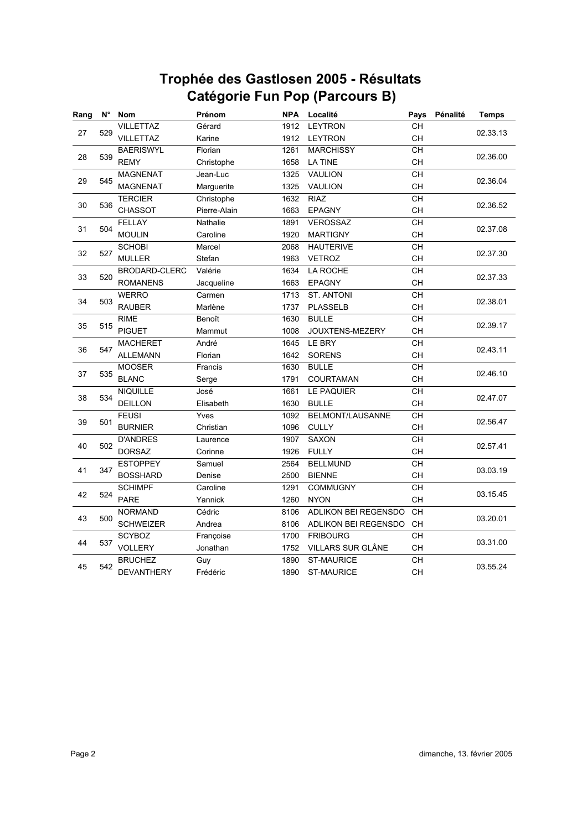| Rang      | $N^{\circ}$ | <b>Nom</b>        | Prénom       | <b>NPA</b> | Localité             | Pays            | Pénalité | <b>Temps</b> |
|-----------|-------------|-------------------|--------------|------------|----------------------|-----------------|----------|--------------|
| 27        | 529         | <b>VILLETTAZ</b>  | Gérard       | 1912       | <b>LEYTRON</b>       | CH              |          | 02.33.13     |
|           |             | <b>VILLETTAZ</b>  | Karine       | 1912       | <b>LEYTRON</b>       | CH              |          |              |
|           |             | <b>BAERISWYL</b>  | Florian      | 1261       | <b>MARCHISSY</b>     | <b>CH</b>       |          |              |
| 28        | 539         | <b>REMY</b>       | Christophe   | 1658       | <b>LA TINE</b>       | CH              |          | 02.36.00     |
|           |             | <b>MAGNENAT</b>   | Jean-Luc     | 1325       | VAULION              | CH              |          |              |
| 29        | 545         | <b>MAGNENAT</b>   | Marguerite   | 1325       | VAULION              | CH              |          | 02.36.04     |
|           |             | <b>TERCIER</b>    | Christophe   | 1632       | <b>RIAZ</b>          | CH              |          |              |
| 30        | 536         | <b>CHASSOT</b>    | Pierre-Alain | 1663       | <b>EPAGNY</b>        | CH              |          | 02.36.52     |
|           |             | <b>FELLAY</b>     | Nathalie     | 1891       | <b>VEROSSAZ</b>      | CH              |          |              |
| 31        | 504         | <b>MOULIN</b>     | Caroline     | 1920       | <b>MARTIGNY</b>      | CH              |          | 02.37.08     |
|           |             | <b>SCHOBI</b>     | Marcel       | 2068       | <b>HAUTERIVE</b>     | CH              |          |              |
| 32        | 527         | <b>MULLER</b>     | Stefan       | 1963       | <b>VETROZ</b>        | CH              |          | 02.37.30     |
|           |             | BRODARD-CLERC     | Valérie      | 1634       | LA ROCHE             | CH              |          |              |
| 33        | 520         | <b>ROMANENS</b>   | Jacqueline   | 1663       | <b>EPAGNY</b>        | <b>CH</b>       |          | 02.37.33     |
|           |             | <b>WERRO</b>      | Carmen       | 1713       | ST. ANTONI           | CH              |          |              |
| 34        | 503         | <b>RAUBER</b>     | Marlène      | 1737       | <b>PLASSELB</b>      | CH              |          | 02.38.01     |
|           | 35<br>515   | <b>RIME</b>       | Benoît       | 1630       | <b>BULLE</b>         | CH              |          |              |
|           |             | <b>PIGUET</b>     | Mammut       | 1008       | JOUXTENS-MEZERY      | CH              |          | 02.39.17     |
| 36<br>547 |             | <b>MACHERET</b>   | André        | 1645       | LE BRY               | $\overline{CH}$ |          |              |
|           |             | <b>ALLEMANN</b>   | Florian      | 1642       | <b>SORENS</b>        | CH              |          | 02.43.11     |
|           |             | <b>MOOSER</b>     | Francis      | 1630       | <b>BULLE</b>         | CH              |          |              |
| 37        | 535         | <b>BLANC</b>      | Serge        | 1791       | COURTAMAN            | CH              |          | 02.46.10     |
|           | 534         | <b>NIQUILLE</b>   | José         | 1661       | LE PAQUIER           | CH              |          |              |
| 38        |             | <b>DEILLON</b>    | Elisabeth    | 1630       | <b>BULLE</b>         | CH              |          | 02.47.07     |
| 39        | 501         | <b>FEUSI</b>      | Yves         | 1092       | BELMONT/LAUSANNE     | CH              |          |              |
|           |             | <b>BURNIER</b>    | Christian    | 1096       | <b>CULLY</b>         | CH              |          | 02.56.47     |
|           |             | <b>D'ANDRES</b>   | Laurence     | 1907       | <b>SAXON</b>         | CH              |          | 02.57.41     |
| 40        | 502         | <b>DORSAZ</b>     | Corinne      | 1926       | <b>FULLY</b>         | CH              |          |              |
| 41        |             | <b>ESTOPPEY</b>   | Samuel       | 2564       | <b>BELLMUND</b>      | CH              |          | 03.03.19     |
|           | 347         | <b>BOSSHARD</b>   | Denise       | 2500       | <b>BIENNE</b>        | CH              |          |              |
| 42        | 524         | <b>SCHIMPF</b>    | Caroline     | 1291       | <b>COMMUGNY</b>      | CH              |          |              |
|           |             | PARE              | Yannick      | 1260       | <b>NYON</b>          | CH              |          | 03.15.45     |
|           |             | <b>NORMAND</b>    | Cédric       | 8106       | ADLIKON BEI REGENSDO | <b>CH</b>       |          |              |
| 43        | 500         | <b>SCHWEIZER</b>  | Andrea       | 8106       | ADLIKON BEI REGENSDO | CH              |          | 03.20.01     |
|           |             | <b>SCYBOZ</b>     | Françoise    | 1700       | <b>FRIBOURG</b>      | CH              |          |              |
| 44        | 537         | VOLLERY           | Jonathan     | 1752       | VILLARS SUR GLÂNE    | CH              |          | 03.31.00     |
|           |             | <b>BRUCHEZ</b>    | Guy          | 1890       | <b>ST-MAURICE</b>    | CH              |          |              |
| 45        | 542         | <b>DEVANTHERY</b> | Frédéric     | 1890       | <b>ST-MAURICE</b>    | CH              |          | 03.55.24     |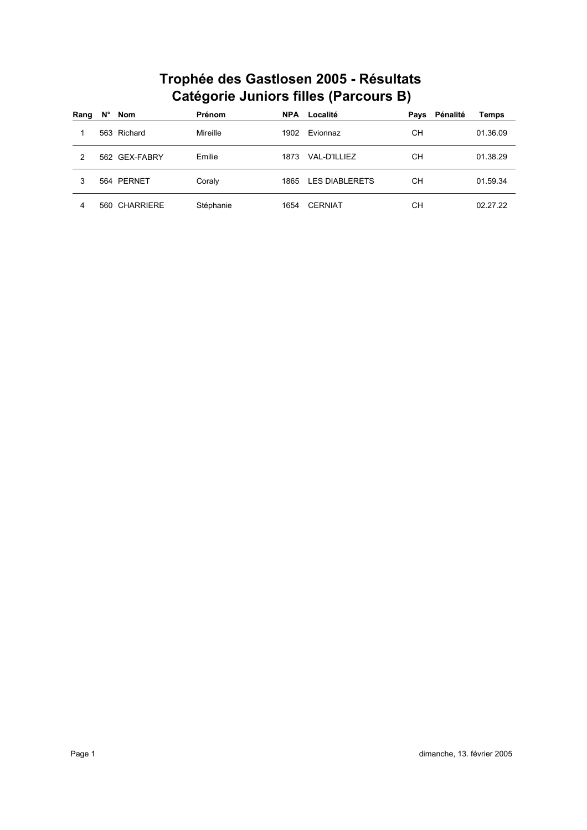| Rang | Ν° | Nom           | Prénom    | <b>NPA</b> | Localité       | Pays | Pénalité | <b>Temps</b> |
|------|----|---------------|-----------|------------|----------------|------|----------|--------------|
|      |    | 563 Richard   | Mireille  | 1902       | Evionnaz       | CН   |          | 01.36.09     |
| 2    |    | 562 GEX-FABRY | Emilie    | 1873       | VAL-D'ILLIEZ   | CН   |          | 01.38.29     |
| 3    |    | 564 PERNET    | Coraly    | 1865       | LES DIABLERETS | CН   |          | 01.59.34     |
| 4    |    | 560 CHARRIERE | Stéphanie | 1654       | <b>CERNIAT</b> | CН   |          | 02.27.22     |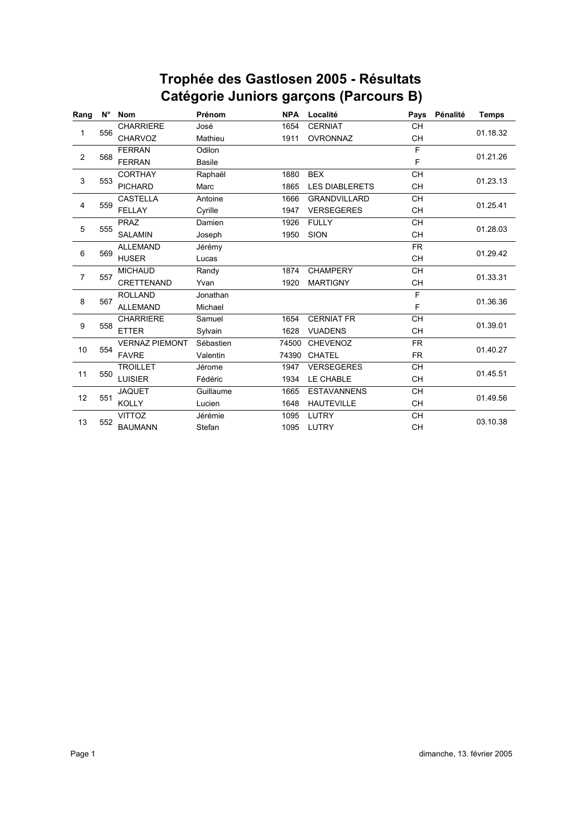| Rang           | N°  | <b>Nom</b>            | Prénom        | <b>NPA</b> | Localité              | Pays      | Pénalité | <b>Temps</b> |  |
|----------------|-----|-----------------------|---------------|------------|-----------------------|-----------|----------|--------------|--|
|                |     | <b>CHARRIERE</b>      | José          | 1654       | <b>CERNIAT</b>        | <b>CH</b> |          |              |  |
| 1              | 556 | <b>CHARVOZ</b>        | Mathieu       | 1911       | OVRONNAZ              | <b>CH</b> |          | 01.18.32     |  |
|                |     | <b>FERRAN</b>         | Odilon        |            |                       | F         |          |              |  |
| $\overline{2}$ | 568 | <b>FERRAN</b>         | <b>Basile</b> |            |                       | F         |          | 01.21.26     |  |
|                |     | <b>CORTHAY</b>        | Raphaël       | 1880       | <b>BEX</b>            | <b>CH</b> |          | 01.23.13     |  |
| 3              | 553 | <b>PICHARD</b>        | Marc          | 1865       | <b>LES DIABLERETS</b> | <b>CH</b> |          |              |  |
|                |     | <b>CASTELLA</b>       | Antoine       | 1666       | <b>GRANDVILLARD</b>   | <b>CH</b> |          |              |  |
| 4              | 559 | <b>FELLAY</b>         | Cyrille       | 1947       | <b>VERSEGERES</b>     | <b>CH</b> |          | 01.25.41     |  |
|                |     | <b>PRAZ</b>           | Damien        | 1926       | <b>FULLY</b>          | <b>CH</b> |          | 01.28.03     |  |
| 5              | 555 | <b>SALAMIN</b>        | Joseph        | 1950       | <b>SION</b>           | <b>CH</b> |          |              |  |
|                | 569 | <b>ALLEMAND</b>       | Jérémy        |            |                       | FR.       |          | 01.29.42     |  |
| 6              |     | <b>HUSER</b>          | Lucas         |            |                       | <b>CH</b> |          |              |  |
| $\overline{7}$ | 557 | <b>MICHAUD</b>        | Randy         | 1874       | <b>CHAMPERY</b>       | <b>CH</b> |          | 01.33.31     |  |
|                |     | <b>CRETTENAND</b>     | Yvan          | 1920       | <b>MARTIGNY</b>       | <b>CH</b> |          |              |  |
| 8              | 567 | <b>ROLLAND</b>        | Jonathan      |            |                       | F         |          |              |  |
|                |     | <b>ALLEMAND</b>       | Michael       |            |                       | F         |          | 01.36.36     |  |
|                |     | <b>CHARRIERE</b>      | Samuel        | 1654       | <b>CERNIAT FR</b>     | <b>CH</b> |          | 01.39.01     |  |
| 9              | 558 | <b>ETTER</b>          | Sylvain       | 1628       | <b>VUADENS</b>        | <b>CH</b> |          |              |  |
|                |     | <b>VERNAZ PIEMONT</b> | Sébastien     | 74500      | <b>CHEVENOZ</b>       | <b>FR</b> |          | 01.40.27     |  |
| 10             | 554 | <b>FAVRE</b>          | Valentin      | 74390      | <b>CHATEL</b>         | <b>FR</b> |          |              |  |
|                |     | <b>TROILLET</b>       | Jérome        | 1947       | <b>VERSEGERES</b>     | <b>CH</b> |          | 01.45.51     |  |
| 11             | 550 | <b>LUISIER</b>        | Fédéric       | 1934       | LE CHABLE             | <b>CH</b> |          |              |  |
|                |     | <b>JAQUET</b>         | Guillaume     | 1665       | <b>ESTAVANNENS</b>    | <b>CH</b> |          |              |  |
| 12             | 551 | <b>KOLLY</b>          | Lucien        | 1648       | <b>HAUTEVILLE</b>     | <b>CH</b> |          | 01.49.56     |  |
|                |     | <b>VITTOZ</b>         | Jérémie       | 1095       | LUTRY                 | <b>CH</b> |          |              |  |
| 13             | 552 | <b>BAUMANN</b>        | Stefan        | 1095       | LUTRY                 | CH        |          | 03.10.38     |  |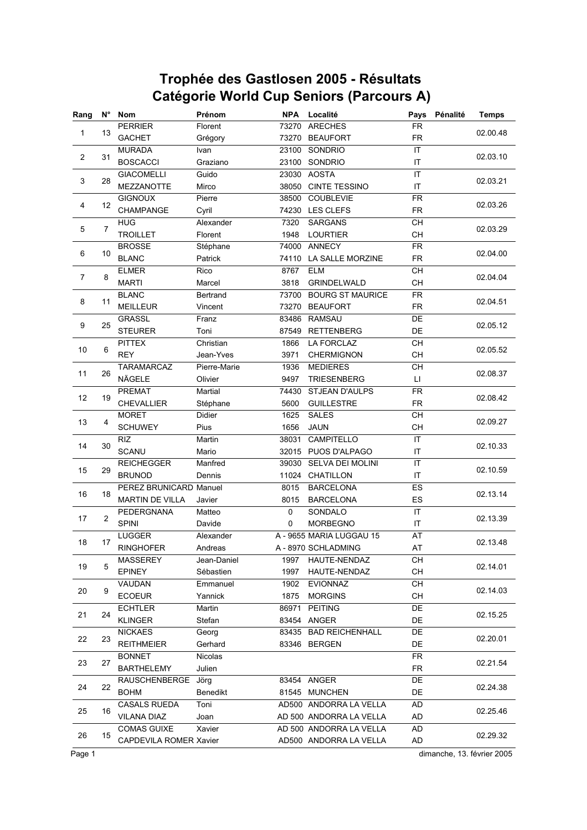| $N^{\circ}$<br>Rang<br><b>Nom</b><br>Prénom |                |                                    | <b>NPA</b>        | Localité       | Pays                     |                 | <b>Temps</b> |                            |
|---------------------------------------------|----------------|------------------------------------|-------------------|----------------|--------------------------|-----------------|--------------|----------------------------|
|                                             |                | <b>PERRIER</b>                     | Florent           | 73270          | <b>ARECHES</b>           | <b>FR</b>       |              |                            |
| 1                                           | 13             | <b>GACHET</b>                      | Grégory           |                | 73270 BEAUFORT           | <b>FR</b>       |              | 02.00.48                   |
|                                             |                | <b>MURADA</b>                      | Ivan              | 23100          | SONDRIO                  | IT              |              |                            |
| $\overline{2}$                              | 31             | <b>BOSCACCI</b>                    | Graziano          | 23100          | SONDRIO                  | IT              |              | 02.03.10                   |
|                                             |                | <b>GIACOMELLI</b>                  | Guido             | 23030          | <b>AOSTA</b>             | IT              |              |                            |
| 3                                           | 28             | <b>MEZZANOTTE</b>                  | Mirco             | 38050          | <b>CINTE TESSINO</b>     | IT              |              | 02.03.21                   |
|                                             |                | <b>GIGNOUX</b>                     | Pierre            | 38500          | <b>COUBLEVIE</b>         | <b>FR</b>       |              |                            |
| 4                                           | 12             | CHAMPANGE                          | Cyril             | 74230          | <b>LES CLEFS</b>         | <b>FR</b>       |              | 02.03.26                   |
|                                             |                | <b>HUG</b>                         | Alexander         | 7320           | <b>SARGANS</b>           | CH              |              |                            |
| 5                                           | $\overline{7}$ | <b>TROILLET</b>                    | Florent           | 1948           | <b>LOURTIER</b>          | CH              |              | 02.03.29                   |
|                                             |                | <b>BROSSE</b>                      | Stéphane          | 74000          | <b>ANNECY</b>            | <b>FR</b>       |              |                            |
| 6                                           | 10             | <b>BLANC</b>                       | Patrick           | 74110          | LA SALLE MORZINE         | <b>FR</b>       |              | 02.04.00                   |
|                                             |                | <b>ELMER</b>                       | Rico              | 8767           | <b>ELM</b>               | $\overline{CH}$ |              |                            |
| $\overline{7}$                              | 8              | <b>MARTI</b>                       | Marcel            | 3818           | GRINDELWALD              | <b>CH</b>       |              | 02.04.04                   |
|                                             |                | <b>BLANC</b>                       | Bertrand          | 73700          | <b>BOURG ST MAURICE</b>  | <b>FR</b>       |              |                            |
| 8                                           | 11             | MEILLEUR                           | Vincent           | 73270          | <b>BEAUFORT</b>          | <b>FR</b>       |              | 02.04.51                   |
|                                             |                | <b>GRASSL</b>                      | Franz             | 83486          | <b>RAMSAU</b>            | DE              |              |                            |
| 9                                           | 25             | <b>STEURER</b>                     | Toni              | 87549          | <b>RETTENBERG</b>        | DE              |              | 02.05.12                   |
|                                             |                | <b>PITTEX</b>                      | Christian         | 1866           | LA FORCLAZ               | CH              |              |                            |
| 10                                          | 6              | <b>REY</b>                         | Jean-Yves         | 3971           | <b>CHERMIGNON</b>        | <b>CH</b>       |              | 02.05.52                   |
|                                             |                | <b>TARAMARCAZ</b>                  | Pierre-Marie      | 1936           | <b>MEDIERES</b>          | CH              |              |                            |
| 11                                          | 26             | NÄGELE                             | Olivier           | 9497           | <b>TRIESENBERG</b>       | П               |              | 02.08.37                   |
|                                             |                | <b>PREMAT</b>                      | Martial           | 74430          | STJEAN D'AULPS           | <b>FR</b>       |              |                            |
| 12                                          | 19             | CHEVALLIER                         | Stéphane          | 5600           | <b>GUILLESTRE</b>        | <b>FR</b>       |              | 02.08.42                   |
|                                             |                | <b>MORET</b>                       | Didier            | 1625           | <b>SALES</b>             | CH              |              |                            |
| 13                                          | $\overline{4}$ | <b>SCHUWEY</b>                     | Pius              | 1656           | <b>JAUN</b>              | CH              |              | 02.09.27                   |
|                                             |                | <b>RIZ</b>                         | Martin            | 38031          | CAMPITELLO               | IT              |              |                            |
| 14                                          | 30             | <b>SCANU</b>                       | Mario             |                | 32015 PUOS D'ALPAGO      |                 |              | 02.10.33                   |
|                                             |                |                                    |                   |                | SELVA DEI MOLINI         | IT<br>IT        |              |                            |
| 15                                          | 29             | <b>REICHEGGER</b><br><b>BRUNOD</b> | Manfred<br>Dennis | 39030<br>11024 | CHATILLON                | IT              |              | 02.10.59                   |
|                                             |                | PEREZ BRUNICARD Manuel             |                   | 8015           |                          | ES              |              |                            |
| 16                                          | 18             |                                    |                   |                | <b>BARCELONA</b>         |                 |              | 02.13.14                   |
|                                             |                | <b>MARTIN DE VILLA</b>             | Javier            | 8015           | <b>BARCELONA</b>         | ES              |              |                            |
| 17                                          | $\overline{2}$ | PEDERGNANA                         | Matteo            | 0              | SONDALO                  | IT              |              | 02.13.39                   |
|                                             |                | <b>SPINI</b>                       | Davide            | 0              | <b>MORBEGNO</b>          | IT              |              |                            |
| 18                                          | 17             | <b>LUGGER</b>                      | Alexander         |                | A - 9655 MARIA LUGGAU 15 | AT              |              | 02.13.48                   |
|                                             |                | <b>RINGHOFER</b>                   | Andreas           |                | A - 8970 SCHLADMING      | AT              |              |                            |
| 19                                          | 5              | <b>MASSEREY</b>                    | Jean-Daniel       | 1997           | HAUTE-NENDAZ             | CН              |              | 02.14.01                   |
|                                             |                | <b>EPINEY</b>                      | Sébastien         | 1997           | HAUTE-NENDAZ             | CH              |              |                            |
| 20                                          | 9              | VAUDAN                             | Emmanuel          | 1902           | <b>EVIONNAZ</b>          | CH              |              | 02.14.03                   |
|                                             |                | <b>ECOEUR</b>                      | Yannick           | 1875           | <b>MORGINS</b>           | CН              |              |                            |
| 21                                          | 24             | <b>ECHTLER</b>                     | Martin            | 86971          | <b>PEITING</b>           | DE              |              | 02.15.25                   |
|                                             |                | <b>KLINGER</b>                     | Stefan            | 83454          | ANGER                    | DE              |              |                            |
| 22                                          | 23             | <b>NICKAES</b>                     | Georg             | 83435          | <b>BAD REICHENHALL</b>   | DE              |              | 02.20.01                   |
|                                             |                | <b>REITHMEIER</b>                  | Gerhard           |                | 83346 BERGEN             | DE              |              |                            |
| 23                                          | 27             | <b>BONNET</b>                      | Nicolas           |                |                          | <b>FR</b>       |              | 02.21.54                   |
|                                             |                | <b>BARTHELEMY</b>                  | Julien            |                |                          | <b>FR</b>       |              |                            |
| 24                                          | 22             | RAUSCHENBERGE Jörg                 |                   |                | 83454 ANGER              | DE              |              | 02.24.38                   |
|                                             |                | <b>BOHM</b>                        | Benedikt          |                | 81545 MUNCHEN            | DE              |              |                            |
| 25                                          | 16             | <b>CASALS RUEDA</b>                | Toni              |                | AD500 ANDORRA LA VELLA   | AD              |              | 02.25.46                   |
|                                             |                | <b>VILANA DIAZ</b>                 | Joan              |                | AD 500 ANDORRA LA VELLA  | AD              |              |                            |
|                                             |                | <b>COMAS GUIXE</b>                 | Xavier            |                | AD 500 ANDORRA LA VELLA  | <b>AD</b>       |              |                            |
| 26                                          | 15             | CAPDEVILA ROMER Xavier             |                   |                | AD500 ANDORRA LA VELLA   | <b>AD</b>       |              | 02.29.32                   |
| Page 1                                      |                |                                    |                   |                |                          |                 |              | dimanche, 13. février 2005 |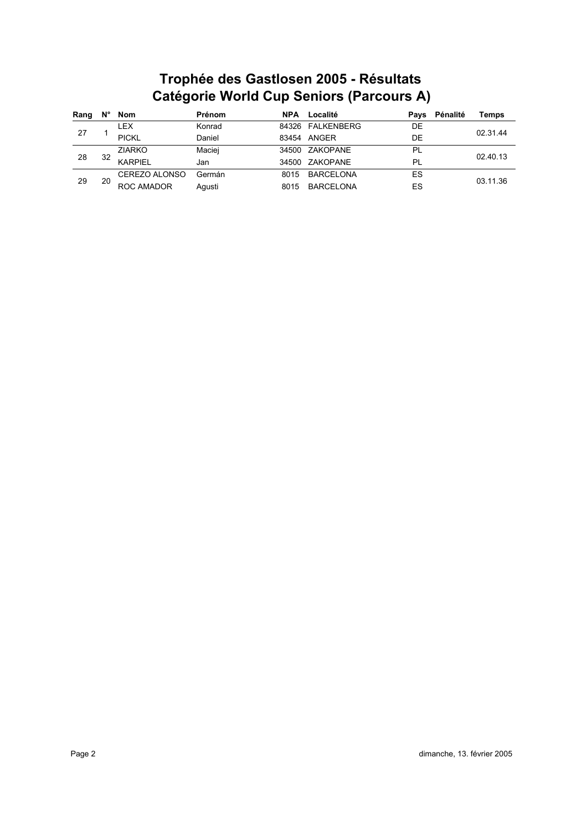| Rang | N° | Nom            | Prénom | <b>NPA</b> | Localité         | Pavs      | Pénalité | <b>Temps</b> |  |
|------|----|----------------|--------|------------|------------------|-----------|----------|--------------|--|
|      |    | LEX            | Konrad | 84326      | FALKENBERG       | DE        |          | 02.31.44     |  |
| 27   |    | <b>PICKL</b>   | Daniel | 83454      | ANGER            | DE        |          |              |  |
|      |    | <b>ZIARKO</b>  | Maciej | 34500      | ZAKOPANE         | <b>PL</b> |          | 02.40.13     |  |
| 28   | 32 | <b>KARPIFI</b> | Jan    | 34500      | ZAKOPANE         | PL        |          |              |  |
|      |    | CEREZO ALONSO  | Germán | 8015       | <b>BARCELONA</b> | ES        |          | 03.11.36     |  |
| 29   | 20 | ROC AMADOR     | Aqusti | 8015       | <b>BARCELONA</b> | ES        |          |              |  |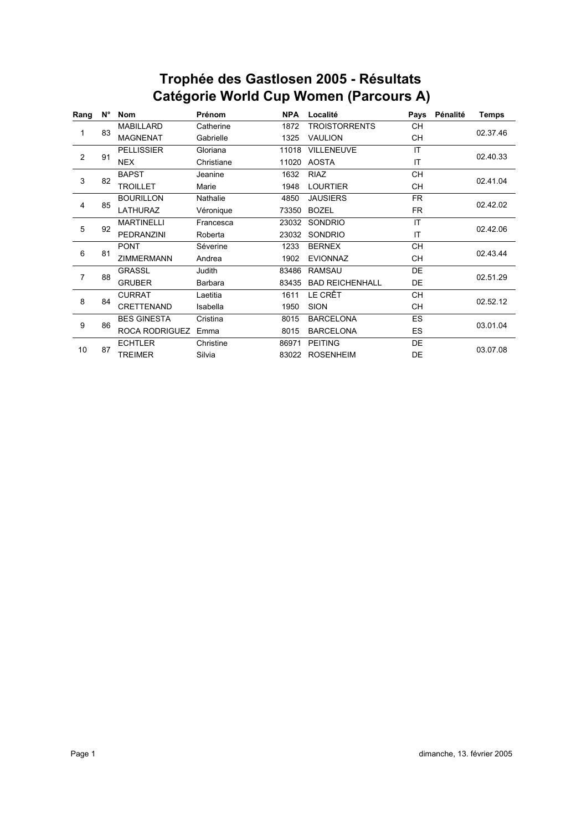# **Catégorie World Cup Women (Parcours A) Trophée des Gastlosen 2005 - Résultats**

| Rang | $N^{\circ}$ | <b>Nom</b>            | Prénom     | <b>NPA</b> | Pénalité<br>Localité<br>Pays |           | <b>Temps</b> |          |  |
|------|-------------|-----------------------|------------|------------|------------------------------|-----------|--------------|----------|--|
| 1    |             | <b>MABILLARD</b>      | Catherine  | 1872       | <b>TROISTORRENTS</b>         | CН        |              |          |  |
|      | 83          | <b>MAGNENAT</b>       | Gabrielle  | 1325       | <b>VAULION</b><br>CН         |           |              | 02.37.46 |  |
|      |             | <b>PELLISSIER</b>     | Gloriana   | 11018      | <b>VILLENEUVE</b>            | IT        |              |          |  |
| 2    | 91          | <b>NEX</b>            | Christiane | 11020      | IT<br><b>AOSTA</b>           |           |              | 02.40.33 |  |
| 3    |             | <b>BAPST</b>          | Jeanine    | 1632       | <b>RIAZ</b>                  | <b>CH</b> |              |          |  |
|      | 82          | <b>TROILLET</b>       | Marie      | 1948       | <b>LOURTIER</b>              | CН        |              | 02.41.04 |  |
|      |             | <b>BOURILLON</b>      | Nathalie   | 4850       | <b>JAUSIERS</b>              | <b>FR</b> |              | 02.42.02 |  |
| 4    | 85          | LATHURAZ              | Véronique  | 73350      | <b>BOZEL</b><br><b>FR</b>    |           |              |          |  |
|      | 92          | <b>MARTINELLI</b>     | Francesca  | 23032      | <b>SONDRIO</b>               | IT        |              |          |  |
| 5    |             | <b>PEDRANZINI</b>     | Roberta    | 23032      | SONDRIO                      | IT        |              | 02.42.06 |  |
|      | 81          | <b>PONT</b>           | Séverine   | 1233       | <b>BERNEX</b>                | <b>CH</b> |              | 02.43.44 |  |
| 6    |             | <b>ZIMMERMANN</b>     | Andrea     | 1902       | <b>EVIONNAZ</b>              | <b>CH</b> |              |          |  |
|      | 88          | <b>GRASSL</b>         | Judith     | 83486      | <b>RAMSAU</b>                | DE        |              | 02.51.29 |  |
| 7    |             | <b>GRUBER</b>         | Barbara    | 83435      | <b>BAD REICHENHALL</b>       | DE        |              |          |  |
| 8    |             | <b>CURRAT</b>         | Laetitia   | 1611       | LE CRÊT                      | CН        |              |          |  |
|      | 84          | CRETTENAND            | Isabella   | 1950       | <b>SION</b>                  | <b>CH</b> |              | 02.52.12 |  |
| 9    | 86          | <b>BES GINESTA</b>    | Cristina   | 8015       | <b>BARCELONA</b>             | ES        |              | 03.01.04 |  |
|      |             | <b>ROCA RODRIGUEZ</b> | Emma       | 8015       | <b>BARCELONA</b>             | <b>ES</b> |              |          |  |
|      |             | <b>ECHTLER</b>        | Christine  | 86971      | <b>PEITING</b>               | DE        |              |          |  |
| 10   | 87          | <b>TREIMER</b>        | Silvia     | 83022      | <b>ROSENHEIM</b>             | DE        |              | 03.07.08 |  |